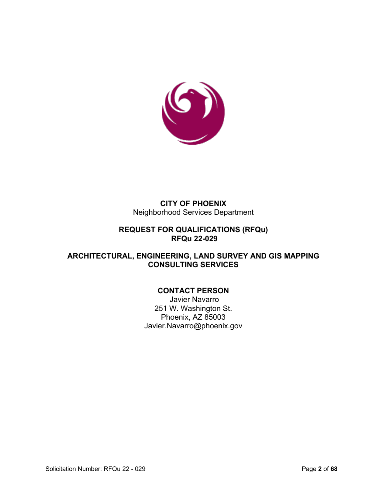

#### **CITY OF PHOENIX** Neighborhood Services Department

### **REQUEST FOR QUALIFICATIONS (RFQu) RFQu 22-029**

### **ARCHITECTURAL, ENGINEERING, LAND SURVEY AND GIS MAPPING CONSULTING SERVICES**

# **CONTACT PERSON**

Javier Navarro 251 W. Washington St. Phoenix, AZ 85003 Javier.Navarro@phoenix.gov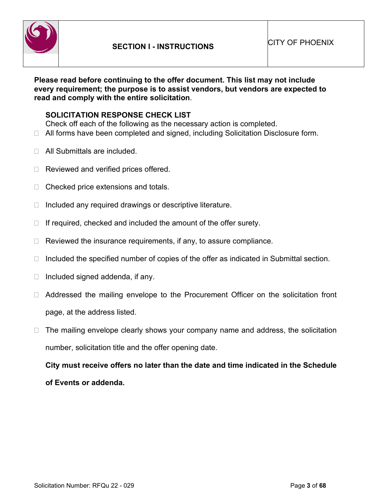

**Please read before continuing to the offer document. This list may not include every requirement; the purpose is to assist vendors, but vendors are expected to read and comply with the entire solicitation**.

#### **SOLICITATION RESPONSE CHECK LIST**

Check off each of the following as the necessary action is completed.

- □ All forms have been completed and signed, including Solicitation Disclosure form.
- □ All Submittals are included.
- $\Box$  Reviewed and verified prices offered.
- $\Box$  Checked price extensions and totals.
- $\Box$  Included any required drawings or descriptive literature.
- $\Box$  If required, checked and included the amount of the offer surety.
- $\Box$  Reviewed the insurance requirements, if any, to assure compliance.
- $\Box$  Included the specified number of copies of the offer as indicated in Submittal section.
- $\Box$  Included signed addenda, if any.
- □ Addressed the mailing envelope to the Procurement Officer on the solicitation front page, at the address listed.
- $\Box$  The mailing envelope clearly shows your company name and address, the solicitation number, solicitation title and the offer opening date.

**City must receive offers no later than the date and time indicated in the Schedule of Events or addenda.**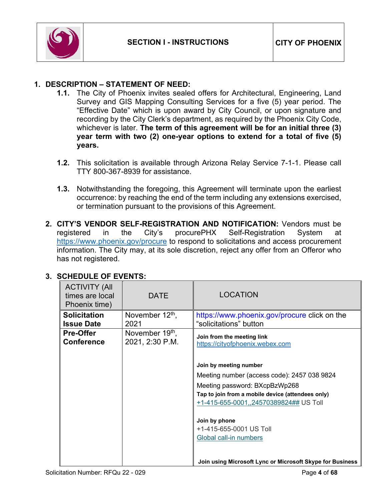

### **1. DESCRIPTION – STATEMENT OF NEED:**

- **1.1.** The City of Phoenix invites sealed offers for Architectural, Engineering, Land Survey and GIS Mapping Consulting Services for a five (5) year period. The "Effective Date" which is upon award by City Council, or upon signature and recording by the City Clerk's department, as required by the Phoenix City Code, whichever is later. **The term of this agreement will be for an initial three (3) year term with two (2) one-year options to extend for a total of five (5) years.**
- **1.2.** This solicitation is available through Arizona Relay Service 7-1-1. Please call TTY 800-367-8939 for assistance.
- **1.3.** Notwithstanding the foregoing, this Agreement will terminate upon the earliest occurrence: by reaching the end of the term including any extensions exercised, or termination pursuant to the provisions of this Agreement.
- **2. CITY'S VENDOR SELF-REGISTRATION AND NOTIFICATION:** Vendors must be registered in the City's procurePHX Self-Registration System at <https://www.phoenix.gov/procure> to respond to solicitations and access procurement information. The City may, at its sole discretion, reject any offer from an Offeror who has not registered.

| <b>ACTIVITY (All</b><br>times are local<br>Phoenix time) | <b>DATE</b>                                    | <b>LOCATION</b>                                                                                                                                                                                                                                                             |
|----------------------------------------------------------|------------------------------------------------|-----------------------------------------------------------------------------------------------------------------------------------------------------------------------------------------------------------------------------------------------------------------------------|
| <b>Solicitation</b><br><b>Issue Date</b>                 | November 12 <sup>th</sup> ,<br>2021            | https://www.phoenix.gov/procure click on the<br>"solicitations" button                                                                                                                                                                                                      |
| <b>Pre-Offer</b><br><b>Conference</b>                    | November 19 <sup>th</sup> ,<br>2021, 2:30 P.M. | Join from the meeting link<br>https://cityofphoenix.webex.com                                                                                                                                                                                                               |
|                                                          |                                                | Join by meeting number<br>Meeting number (access code): 2457 038 9824<br>Meeting password: BXcpBzWp268<br>Tap to join from a mobile device (attendees only)<br>+1-415-655-0001,,24570389824## US Toll<br>Join by phone<br>+1-415-655-0001 US Toll<br>Global call-in numbers |
|                                                          |                                                | Join using Microsoft Lync or Microsoft Skype for Business                                                                                                                                                                                                                   |

# **3. SCHEDULE OF EVENTS:**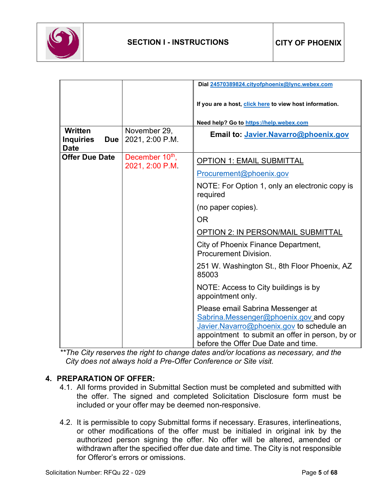

|                                                                 |                                                | Dial 24570389824.cityofphoenix@lync.webex.com                                                                                                                                                                      |
|-----------------------------------------------------------------|------------------------------------------------|--------------------------------------------------------------------------------------------------------------------------------------------------------------------------------------------------------------------|
|                                                                 |                                                | If you are a host, click here to view host information.                                                                                                                                                            |
|                                                                 |                                                | Need help? Go to https://help.webex.com                                                                                                                                                                            |
| <b>Written</b><br><b>Inquiries</b><br><b>Due</b><br><b>Date</b> | November 29,<br>2021, 2:00 P.M.                | Email to: Javier.Navarro@phoenix.gov                                                                                                                                                                               |
| <b>Offer Due Date</b>                                           | December 10 <sup>th</sup> ,<br>2021, 2:00 P.M. | <b>OPTION 1: EMAIL SUBMITTAL</b>                                                                                                                                                                                   |
|                                                                 |                                                | Procurement@phoenix.gov                                                                                                                                                                                            |
|                                                                 |                                                | NOTE: For Option 1, only an electronic copy is<br>required                                                                                                                                                         |
|                                                                 |                                                | (no paper copies).                                                                                                                                                                                                 |
|                                                                 |                                                | <b>OR</b>                                                                                                                                                                                                          |
|                                                                 |                                                | <b>OPTION 2: IN PERSON/MAIL SUBMITTAL</b>                                                                                                                                                                          |
|                                                                 |                                                | City of Phoenix Finance Department,<br><b>Procurement Division.</b>                                                                                                                                                |
|                                                                 |                                                | 251 W. Washington St., 8th Floor Phoenix, AZ<br>85003                                                                                                                                                              |
|                                                                 |                                                | NOTE: Access to City buildings is by<br>appointment only.                                                                                                                                                          |
|                                                                 |                                                | Please email Sabrina Messenger at<br>Sabrina.Messenger@phoenix.gov_and copy<br>Javier.Navarro@phoenix.gov to schedule an<br>appointment to submit an offer in person, by or<br>before the Offer Due Date and time. |

*\*\*The City reserves the right to change dates and/or locations as necessary, and the City does not always hold a Pre-Offer Conference or Site visit.*

#### **4. PREPARATION OF OFFER:**

- 4.1. All forms provided in Submittal Section must be completed and submitted with the offer. The signed and completed Solicitation Disclosure form must be included or your offer may be deemed non-responsive.
- 4.2. It is permissible to copy Submittal forms if necessary. Erasures, interlineations, or other modifications of the offer must be initialed in original ink by the authorized person signing the offer. No offer will be altered, amended or withdrawn after the specified offer due date and time. The City is not responsible for Offeror's errors or omissions.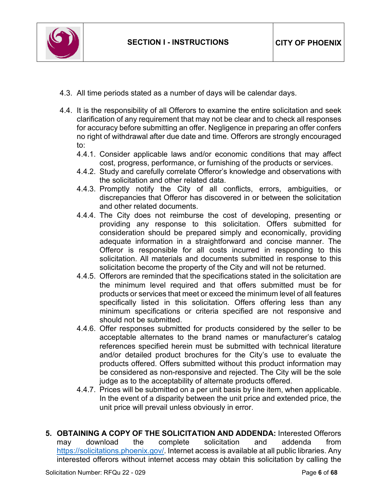

- 4.3. All time periods stated as a number of days will be calendar days.
- 4.4. It is the responsibility of all Offerors to examine the entire solicitation and seek clarification of any requirement that may not be clear and to check all responses for accuracy before submitting an offer. Negligence in preparing an offer confers no right of withdrawal after due date and time. Offerors are strongly encouraged to:
	- 4.4.1. Consider applicable laws and/or economic conditions that may affect cost, progress, performance, or furnishing of the products or services.
	- 4.4.2. Study and carefully correlate Offeror's knowledge and observations with the solicitation and other related data.
	- 4.4.3. Promptly notify the City of all conflicts, errors, ambiguities, or discrepancies that Offeror has discovered in or between the solicitation and other related documents.
	- 4.4.4. The City does not reimburse the cost of developing, presenting or providing any response to this solicitation. Offers submitted for consideration should be prepared simply and economically, providing adequate information in a straightforward and concise manner. The Offeror is responsible for all costs incurred in responding to this solicitation. All materials and documents submitted in response to this solicitation become the property of the City and will not be returned.
	- 4.4.5. Offerors are reminded that the specifications stated in the solicitation are the minimum level required and that offers submitted must be for products or services that meet or exceed the minimum level of all features specifically listed in this solicitation. Offers offering less than any minimum specifications or criteria specified are not responsive and should not be submitted.
	- 4.4.6. Offer responses submitted for products considered by the seller to be acceptable alternates to the brand names or manufacturer's catalog references specified herein must be submitted with technical literature and/or detailed product brochures for the City's use to evaluate the products offered. Offers submitted without this product information may be considered as non-responsive and rejected. The City will be the sole judge as to the acceptability of alternate products offered.
	- 4.4.7. Prices will be submitted on a per unit basis by line item, when applicable. In the event of a disparity between the unit price and extended price, the unit price will prevail unless obviously in error.
- **5. OBTAINING A COPY OF THE SOLICITATION AND ADDENDA:** Interested Offerors may download the complete solicitation [https://solicitations.phoenix.gov/.](https://solicitations.phoenix.gov/) Internet access is available at all public libraries. Any interested offerors without internet access may obtain this solicitation by calling the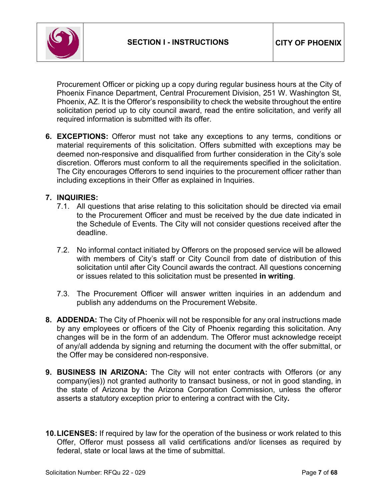

Procurement Officer or picking up a copy during regular business hours at the City of Phoenix Finance Department, Central Procurement Division, 251 W. Washington St, Phoenix, AZ. It is the Offeror's responsibility to check the website throughout the entire solicitation period up to city council award, read the entire solicitation, and verify all required information is submitted with its offer.

**6. EXCEPTIONS:** Offeror must not take any exceptions to any terms, conditions or material requirements of this solicitation. Offers submitted with exceptions may be deemed non-responsive and disqualified from further consideration in the City's sole discretion. Offerors must conform to all the requirements specified in the solicitation. The City encourages Offerors to send inquiries to the procurement officer rather than including exceptions in their Offer as explained in Inquiries.

#### **7. INQUIRIES:**

- 7.1. All questions that arise relating to this solicitation should be directed via email to the Procurement Officer and must be received by the due date indicated in the Schedule of Events. The City will not consider questions received after the deadline.
- 7.2. No informal contact initiated by Offerors on the proposed service will be allowed with members of City's staff or City Council from date of distribution of this solicitation until after City Council awards the contract. All questions concerning or issues related to this solicitation must be presented **in writing**.
- 7.3. The Procurement Officer will answer written inquiries in an addendum and publish any addendums on the Procurement Website.
- **8. ADDENDA:** The City of Phoenix will not be responsible for any oral instructions made by any employees or officers of the City of Phoenix regarding this solicitation. Any changes will be in the form of an addendum. The Offeror must acknowledge receipt of any/all addenda by signing and returning the document with the offer submittal, or the Offer may be considered non-responsive.
- **9. BUSINESS IN ARIZONA:** The City will not enter contracts with Offerors (or any company(ies)) not granted authority to transact business, or not in good standing, in the state of Arizona by the Arizona Corporation Commission, unless the offeror asserts a statutory exception prior to entering a contract with the City**.**
- **10.LICENSES:** If required by law for the operation of the business or work related to this Offer, Offeror must possess all valid certifications and/or licenses as required by federal, state or local laws at the time of submittal.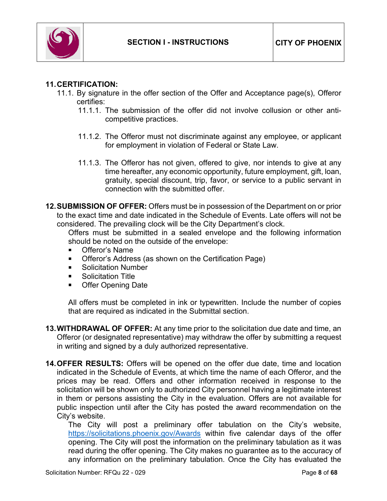

### **11.CERTIFICATION:**

- 11.1. By signature in the offer section of the Offer and Acceptance page(s), Offeror certifies:
	- 11.1.1. The submission of the offer did not involve collusion or other anticompetitive practices.
	- 11.1.2. The Offeror must not discriminate against any employee, or applicant for employment in violation of Federal or State Law.
	- 11.1.3. The Offeror has not given, offered to give, nor intends to give at any time hereafter, any economic opportunity, future employment, gift, loan, gratuity, special discount, trip, favor, or service to a public servant in connection with the submitted offer.
- **12.SUBMISSION OF OFFER:** Offers must be in possession of the Department on or prior to the exact time and date indicated in the Schedule of Events. Late offers will not be considered. The prevailing clock will be the City Department's clock.

Offers must be submitted in a sealed envelope and the following information should be noted on the outside of the envelope:

- Offeror's Name
- **Offeror's Address (as shown on the Certification Page)**
- Solicitation Number
- **Solicitation Title**
- Offer Opening Date

All offers must be completed in ink or typewritten. Include the number of copies that are required as indicated in the Submittal section.

- **13.WITHDRAWAL OF OFFER:** At any time prior to the solicitation due date and time, an Offeror (or designated representative) may withdraw the offer by submitting a request in writing and signed by a duly authorized representative.
- **14.OFFER RESULTS:** Offers will be opened on the offer due date, time and location indicated in the Schedule of Events, at which time the name of each Offeror, and the prices may be read. Offers and other information received in response to the solicitation will be shown only to authorized City personnel having a legitimate interest in them or persons assisting the City in the evaluation. Offers are not available for public inspection until after the City has posted the award recommendation on the City's website.

The City will post a preliminary offer tabulation on the City's website, <https://solicitations.phoenix.gov/Awards> within five calendar days of the offer opening. The City will post the information on the preliminary tabulation as it was read during the offer opening. The City makes no guarantee as to the accuracy of any information on the preliminary tabulation. Once the City has evaluated the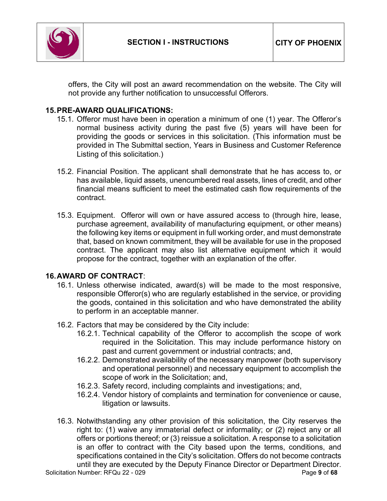

offers, the City will post an award recommendation on the website. The City will not provide any further notification to unsuccessful Offerors.

### **15.PRE-AWARD QUALIFICATIONS:**

- 15.1. Offeror must have been in operation a minimum of one (1) year. The Offeror's normal business activity during the past five (5) years will have been for providing the goods or services in this solicitation. (This information must be provided in The Submittal section, Years in Business and Customer Reference Listing of this solicitation.)
- 15.2. Financial Position. The applicant shall demonstrate that he has access to, or has available, liquid assets, unencumbered real assets, lines of credit, and other financial means sufficient to meet the estimated cash flow requirements of the contract.
- 15.3. Equipment. Offeror will own or have assured access to (through hire, lease, purchase agreement, availability of manufacturing equipment, or other means) the following key items or equipment in full working order, and must demonstrate that, based on known commitment, they will be available for use in the proposed contract. The applicant may also list alternative equipment which it would propose for the contract, together with an explanation of the offer.

#### **16.AWARD OF CONTRACT**:

- 16.1. Unless otherwise indicated, award(s) will be made to the most responsive, responsible Offeror(s) who are regularly established in the service, or providing the goods, contained in this solicitation and who have demonstrated the ability to perform in an acceptable manner.
- 16.2. Factors that may be considered by the City include:
	- 16.2.1. Technical capability of the Offeror to accomplish the scope of work required in the Solicitation. This may include performance history on past and current government or industrial contracts; and,
	- 16.2.2. Demonstrated availability of the necessary manpower (both supervisory and operational personnel) and necessary equipment to accomplish the scope of work in the Solicitation; and,
	- 16.2.3. Safety record, including complaints and investigations; and,
	- 16.2.4. Vendor history of complaints and termination for convenience or cause, litigation or lawsuits.
- 16.3. Notwithstanding any other provision of this solicitation, the City reserves the right to: (1) waive any immaterial defect or informality; or (2) reject any or all offers or portions thereof; or (3) reissue a solicitation. A response to a solicitation is an offer to contract with the City based upon the terms, conditions, and specifications contained in the City's solicitation. Offers do not become contracts until they are executed by the Deputy Finance Director or Department Director.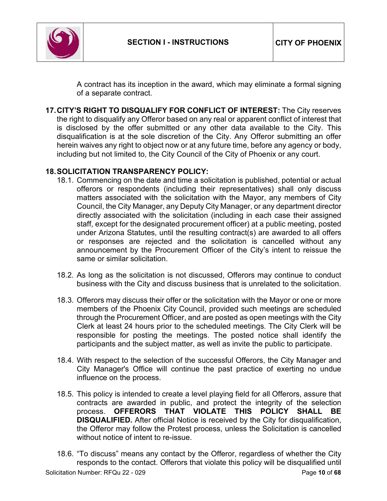

A contract has its inception in the award, which may eliminate a formal signing of a separate contract.

**17.CITY'S RIGHT TO DISQUALIFY FOR CONFLICT OF INTEREST:** The City reserves the right to disqualify any Offeror based on any real or apparent conflict of interest that is disclosed by the offer submitted or any other data available to the City. This disqualification is at the sole discretion of the City. Any Offeror submitting an offer herein waives any right to object now or at any future time, before any agency or body, including but not limited to, the City Council of the City of Phoenix or any court.

### **18.SOLICITATION TRANSPARENCY POLICY:**

- 18.1. Commencing on the date and time a solicitation is published, potential or actual offerors or respondents (including their representatives) shall only discuss matters associated with the solicitation with the Mayor, any members of City Council, the City Manager, any Deputy City Manager, or any department director directly associated with the solicitation (including in each case their assigned staff, except for the designated procurement officer) at a public meeting, posted under Arizona Statutes, until the resulting contract(s) are awarded to all offers or responses are rejected and the solicitation is cancelled without any announcement by the Procurement Officer of the City's intent to reissue the same or similar solicitation.
- 18.2. As long as the solicitation is not discussed, Offerors may continue to conduct business with the City and discuss business that is unrelated to the solicitation.
- 18.3. Offerors may discuss their offer or the solicitation with the Mayor or one or more members of the Phoenix City Council, provided such meetings are scheduled through the Procurement Officer, and are posted as open meetings with the City Clerk at least 24 hours prior to the scheduled meetings. The City Clerk will be responsible for posting the meetings. The posted notice shall identify the participants and the subject matter, as well as invite the public to participate.
- 18.4. With respect to the selection of the successful Offerors, the City Manager and City Manager's Office will continue the past practice of exerting no undue influence on the process.
- 18.5. This policy is intended to create a level playing field for all Offerors, assure that contracts are awarded in public, and protect the integrity of the selection process. **OFFERORS THAT VIOLATE THIS POLICY SHALL BE DISQUALIFIED.** After official Notice is received by the City for disqualification, the Offeror may follow the Protest process, unless the Solicitation is cancelled without notice of intent to re-issue.
- Solicitation Number: RFQu 22 029 **Page 10** of 68 18.6. "To discuss" means any contact by the Offeror, regardless of whether the City responds to the contact. Offerors that violate this policy will be disqualified until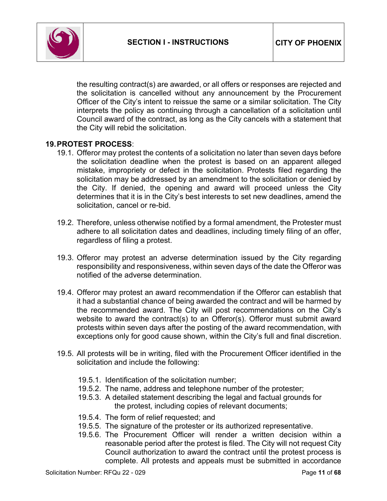

the resulting contract(s) are awarded, or all offers or responses are rejected and the solicitation is cancelled without any announcement by the Procurement Officer of the City's intent to reissue the same or a similar solicitation. The City interprets the policy as continuing through a cancellation of a solicitation until Council award of the contract, as long as the City cancels with a statement that the City will rebid the solicitation.

#### **19.PROTEST PROCESS**:

- 19.1. Offeror may protest the contents of a solicitation no later than seven days before the solicitation deadline when the protest is based on an apparent alleged mistake, impropriety or defect in the solicitation. Protests filed regarding the solicitation may be addressed by an amendment to the solicitation or denied by the City. If denied, the opening and award will proceed unless the City determines that it is in the City's best interests to set new deadlines, amend the solicitation, cancel or re-bid.
- 19.2. Therefore, unless otherwise notified by a formal amendment, the Protester must adhere to all solicitation dates and deadlines, including timely filing of an offer, regardless of filing a protest.
- 19.3. Offeror may protest an adverse determination issued by the City regarding responsibility and responsiveness, within seven days of the date the Offeror was notified of the adverse determination.
- 19.4. Offeror may protest an award recommendation if the Offeror can establish that it had a substantial chance of being awarded the contract and will be harmed by the recommended award. The City will post recommendations on the City's website to award the contract(s) to an Offeror(s). Offeror must submit award protests within seven days after the posting of the award recommendation, with exceptions only for good cause shown, within the City's full and final discretion.
- 19.5. All protests will be in writing, filed with the Procurement Officer identified in the solicitation and include the following:
	- 19.5.1. Identification of the solicitation number;
	- 19.5.2. The name, address and telephone number of the protester;
	- 19.5.3. A detailed statement describing the legal and factual grounds for the protest, including copies of relevant documents;
	- 19.5.4. The form of relief requested; and
	- 19.5.5. The signature of the protester or its authorized representative.
	- 19.5.6. The Procurement Officer will render a written decision within a reasonable period after the protest is filed. The City will not request City Council authorization to award the contract until the protest process is complete. All protests and appeals must be submitted in accordance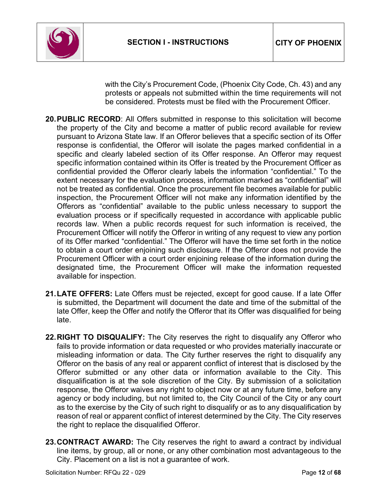

with the City's Procurement Code, (Phoenix City Code, Ch. 43) and any protests or appeals not submitted within the time requirements will not be considered. Protests must be filed with the Procurement Officer.

- **20.PUBLIC RECORD**: All Offers submitted in response to this solicitation will become the property of the City and become a matter of public record available for review pursuant to Arizona State law. If an Offeror believes that a specific section of its Offer response is confidential, the Offeror will isolate the pages marked confidential in a specific and clearly labeled section of its Offer response. An Offeror may request specific information contained within its Offer is treated by the Procurement Officer as confidential provided the Offeror clearly labels the information "confidential." To the extent necessary for the evaluation process, information marked as "confidential" will not be treated as confidential. Once the procurement file becomes available for public inspection, the Procurement Officer will not make any information identified by the Offerors as "confidential" available to the public unless necessary to support the evaluation process or if specifically requested in accordance with applicable public records law. When a public records request for such information is received, the Procurement Officer will notify the Offeror in writing of any request to view any portion of its Offer marked "confidential." The Offeror will have the time set forth in the notice to obtain a court order enjoining such disclosure. If the Offeror does not provide the Procurement Officer with a court order enjoining release of the information during the designated time, the Procurement Officer will make the information requested available for inspection.
- **21.LATE OFFERS:** Late Offers must be rejected, except for good cause. If a late Offer is submitted, the Department will document the date and time of the submittal of the late Offer, keep the Offer and notify the Offeror that its Offer was disqualified for being late.
- **22.RIGHT TO DISQUALIFY:** The City reserves the right to disqualify any Offeror who fails to provide information or data requested or who provides materially inaccurate or misleading information or data. The City further reserves the right to disqualify any Offeror on the basis of any real or apparent conflict of interest that is disclosed by the Offeror submitted or any other data or information available to the City. This disqualification is at the sole discretion of the City. By submission of a solicitation response, the Offeror waives any right to object now or at any future time, before any agency or body including, but not limited to, the City Council of the City or any court as to the exercise by the City of such right to disqualify or as to any disqualification by reason of real or apparent conflict of interest determined by the City. The City reserves the right to replace the disqualified Offeror.
- **23.CONTRACT AWARD:** The City reserves the right to award a contract by individual line items, by group, all or none, or any other combination most advantageous to the City. Placement on a list is not a guarantee of work.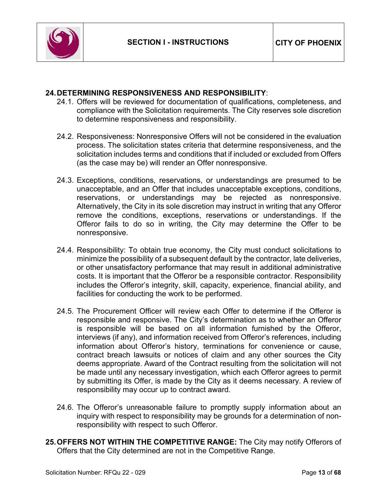

#### **24.DETERMINING RESPONSIVENESS AND RESPONSIBILITY**:

- 24.1. Offers will be reviewed for documentation of qualifications, completeness, and compliance with the Solicitation requirements. The City reserves sole discretion to determine responsiveness and responsibility.
- 24.2. Responsiveness: Nonresponsive Offers will not be considered in the evaluation process. The solicitation states criteria that determine responsiveness, and the solicitation includes terms and conditions that if included or excluded from Offers (as the case may be) will render an Offer nonresponsive.
- 24.3. Exceptions, conditions, reservations, or understandings are presumed to be unacceptable, and an Offer that includes unacceptable exceptions, conditions, reservations, or understandings may be rejected as nonresponsive. Alternatively, the City in its sole discretion may instruct in writing that any Offeror remove the conditions, exceptions, reservations or understandings. If the Offeror fails to do so in writing, the City may determine the Offer to be nonresponsive.
- 24.4. Responsibility: To obtain true economy, the City must conduct solicitations to minimize the possibility of a subsequent default by the contractor, late deliveries, or other unsatisfactory performance that may result in additional administrative costs. It is important that the Offeror be a responsible contractor. Responsibility includes the Offeror's integrity, skill, capacity, experience, financial ability, and facilities for conducting the work to be performed.
- 24.5. The Procurement Officer will review each Offer to determine if the Offeror is responsible and responsive. The City's determination as to whether an Offeror is responsible will be based on all information furnished by the Offeror, interviews (if any), and information received from Offeror's references, including information about Offeror's history, terminations for convenience or cause, contract breach lawsuits or notices of claim and any other sources the City deems appropriate. Award of the Contract resulting from the solicitation will not be made until any necessary investigation, which each Offeror agrees to permit by submitting its Offer, is made by the City as it deems necessary. A review of responsibility may occur up to contract award.
- 24.6. The Offeror's unreasonable failure to promptly supply information about an inquiry with respect to responsibility may be grounds for a determination of nonresponsibility with respect to such Offeror.
- **25.OFFERS NOT WITHIN THE COMPETITIVE RANGE:** The City may notify Offerors of Offers that the City determined are not in the Competitive Range.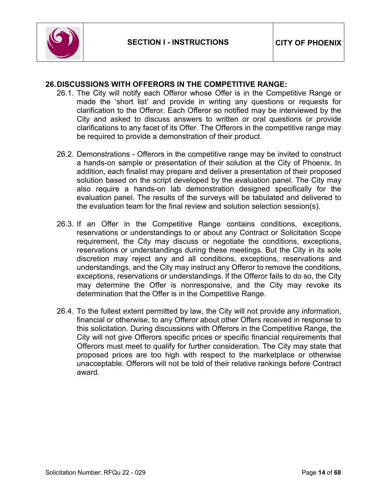

### **26.DISCUSSIONS WITH OFFERORS IN THE COMPETITIVE RANGE:**

- 26.1. The City will notify each Offeror whose Offer is in the Competitive Range or made the 'short list' and provide in writing any questions or requests for clarification to the Offeror. Each Offeror so notified may be interviewed by the City and asked to discuss answers to written or oral questions or provide clarifications to any facet of its Offer. The Offerors in the competitive range may be required to provide a demonstration of their product.
- 26.2. Demonstrations Offerors in the competitive range may be invited to construct a hands-on sample or presentation of their solution at the City of Phoenix. In addition, each finalist may prepare and deliver a presentation of their proposed solution based on the script developed by the evaluation panel. The City may also require a hands-on lab demonstration designed specifically for the evaluation panel. The results of the surveys will be tabulated and delivered to the evaluation team for the final review and solution selection session(s).
- 26.3. If an Offer in the Competitive Range contains conditions, exceptions, reservations or understandings to or about any Contract or Solicitation Scope requirement, the City may discuss or negotiate the conditions, exceptions, reservations or understandings during these meetings. But the City in its sole discretion may reject any and all conditions, exceptions, reservations and understandings, and the City may instruct any Offeror to remove the conditions, exceptions, reservations or understandings. If the Offeror fails to do so, the City may determine the Offer is nonresponsive, and the City may revoke its determination that the Offer is in the Competitive Range.
- 26.4. To the fullest extent permitted by law, the City will not provide any information, financial or otherwise, to any Offeror about other Offers received in response to this solicitation. During discussions with Offerors in the Competitive Range, the City will not give Offerors specific prices or specific financial requirements that Offerors must meet to qualify for further consideration. The City may state that proposed prices are too high with respect to the marketplace or otherwise unacceptable. Offerors will not be told of their relative rankings before Contract award.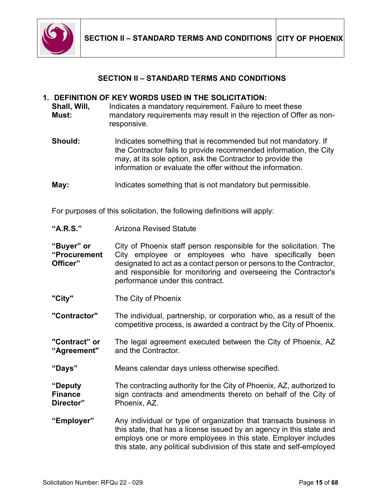

### **SECTION II – STANDARD TERMS AND CONDITIONS**

#### <span id="page-14-0"></span>**1. DEFINITION OF KEY WORDS USED IN THE SOLICITATION:**

**Shall, Will, Must:** Indicates a mandatory requirement. Failure to meet these mandatory requirements may result in the rejection of Offer as nonresponsive.

- **Should:** Indicates something that is recommended but not mandatory. If the Contractor fails to provide recommended information, the City may, at its sole option, ask the Contractor to provide the information or evaluate the offer without the information.
- **May:** Indicates something that is not mandatory but permissible.

For purposes of this solicitation, the following definitions will apply:

**"Buyer" or "Procurement Officer"** City of Phoenix staff person responsible for the solicitation. The City employee or employees who have specifically been designated to act as a contact person or persons to the Contractor, and responsible for monitoring and overseeing the Contractor's performance under this contract.

**"City"** The City of Phoenix

**"Contractor"** The individual, partnership, or corporation who, as a result of the competitive process, is awarded a contract by the City of Phoenix.

**"Contract" or "Agreement"** The legal agreement executed between the City of Phoenix, AZ and the Contractor.

**"Days"** Means calendar days unless otherwise specified.

**"Deputy Finance Director"** The contracting authority for the City of Phoenix, AZ, authorized to sign contracts and amendments thereto on behalf of the City of Phoenix, AZ.

**"Employer"** Any individual or type of organization that transacts business in this state, that has a license issued by an agency in this state and employs one or more employees in this state. Employer includes this state, any political subdivision of this state and self-employed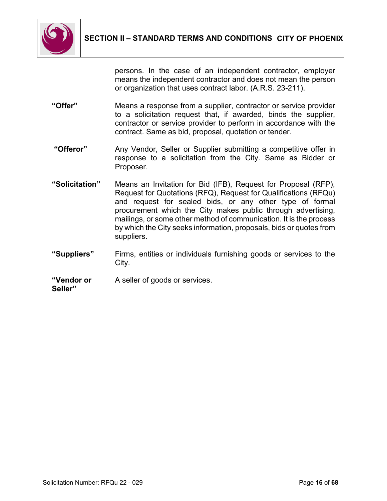

persons. In the case of an independent contractor, employer means the independent contractor and does not mean the person or organization that uses contract labor. (A.R.S. 23-211).

- **"Offer"** Means a response from a supplier, contractor or service provider to a solicitation request that, if awarded, binds the supplier, contractor or service provider to perform in accordance with the contract. Same as bid, proposal, quotation or tender.
- **"Offeror"** Any Vendor, Seller or Supplier submitting a competitive offer in response to a solicitation from the City. Same as Bidder or Proposer.
- **"Solicitation"** Means an Invitation for Bid (IFB), Request for Proposal (RFP), Request for Quotations (RFQ), Request for Qualifications (RFQu) and request for sealed bids, or any other type of formal procurement which the City makes public through advertising, mailings, or some other method of communication. It is the process by which the City seeks information, proposals, bids or quotes from suppliers.
- **"Suppliers"** Firms, entities or individuals furnishing goods or services to the City.

#### **"Vendor or Seller"** A seller of goods or services.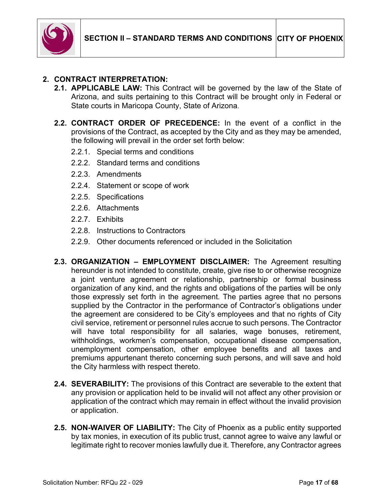

### **2. CONTRACT INTERPRETATION:**

- **2.1. APPLICABLE LAW:** This Contract will be governed by the law of the State of Arizona, and suits pertaining to this Contract will be brought only in Federal or State courts in Maricopa County, State of Arizona.
- **2.2. CONTRACT ORDER OF PRECEDENCE:** In the event of a conflict in the provisions of the Contract, as accepted by the City and as they may be amended, the following will prevail in the order set forth below:
	- 2.2.1. Special terms and conditions
	- 2.2.2. Standard terms and conditions
	- 2.2.3. Amendments
	- 2.2.4. Statement or scope of work
	- 2.2.5. Specifications
	- 2.2.6. Attachments
	- 2.2.7. Exhibits
	- 2.2.8. Instructions to Contractors
	- 2.2.9. Other documents referenced or included in the Solicitation
- **2.3. ORGANIZATION – EMPLOYMENT DISCLAIMER:** The Agreement resulting hereunder is not intended to constitute, create, give rise to or otherwise recognize a joint venture agreement or relationship, partnership or formal business organization of any kind, and the rights and obligations of the parties will be only those expressly set forth in the agreement. The parties agree that no persons supplied by the Contractor in the performance of Contractor's obligations under the agreement are considered to be City's employees and that no rights of City civil service, retirement or personnel rules accrue to such persons. The Contractor will have total responsibility for all salaries, wage bonuses, retirement, withholdings, workmen's compensation, occupational disease compensation, unemployment compensation, other employee benefits and all taxes and premiums appurtenant thereto concerning such persons, and will save and hold the City harmless with respect thereto.
- **2.4. SEVERABILITY:** The provisions of this Contract are severable to the extent that any provision or application held to be invalid will not affect any other provision or application of the contract which may remain in effect without the invalid provision or application.
- **2.5. NON-WAIVER OF LIABILITY:** The City of Phoenix as a public entity supported by tax monies, in execution of its public trust, cannot agree to waive any lawful or legitimate right to recover monies lawfully due it. Therefore, any Contractor agrees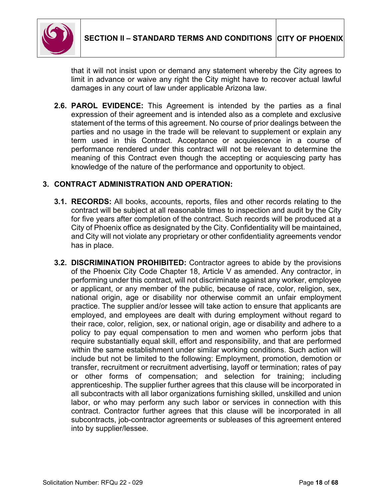

that it will not insist upon or demand any statement whereby the City agrees to limit in advance or waive any right the City might have to recover actual lawful damages in any court of law under applicable Arizona law.

**2.6. PAROL EVIDENCE:** This Agreement is intended by the parties as a final expression of their agreement and is intended also as a complete and exclusive statement of the terms of this agreement. No course of prior dealings between the parties and no usage in the trade will be relevant to supplement or explain any term used in this Contract. Acceptance or acquiescence in a course of performance rendered under this contract will not be relevant to determine the meaning of this Contract even though the accepting or acquiescing party has knowledge of the nature of the performance and opportunity to object.

### **3. CONTRACT ADMINISTRATION AND OPERATION:**

- **3.1. RECORDS:** All books, accounts, reports, files and other records relating to the contract will be subject at all reasonable times to inspection and audit by the City for five years after completion of the contract. Such records will be produced at a City of Phoenix office as designated by the City. Confidentiality will be maintained, and City will not violate any proprietary or other confidentiality agreements vendor has in place.
- **3.2. DISCRIMINATION PROHIBITED:** Contractor agrees to abide by the provisions of the Phoenix City Code Chapter 18, Article V as amended. Any contractor, in performing under this contract, will not discriminate against any worker, employee or applicant, or any member of the public, because of race, color, religion, sex, national origin, age or disability nor otherwise commit an unfair employment practice. The supplier and/or lessee will take action to ensure that applicants are employed, and employees are dealt with during employment without regard to their race, color, religion, sex, or national origin, age or disability and adhere to a policy to pay equal compensation to men and women who perform jobs that require substantially equal skill, effort and responsibility, and that are performed within the same establishment under similar working conditions. Such action will include but not be limited to the following: Employment, promotion, demotion or transfer, recruitment or recruitment advertising, layoff or termination; rates of pay or other forms of compensation; and selection for training; including apprenticeship. The supplier further agrees that this clause will be incorporated in all subcontracts with all labor organizations furnishing skilled, unskilled and union labor, or who may perform any such labor or services in connection with this contract. Contractor further agrees that this clause will be incorporated in all subcontracts, job-contractor agreements or subleases of this agreement entered into by supplier/lessee.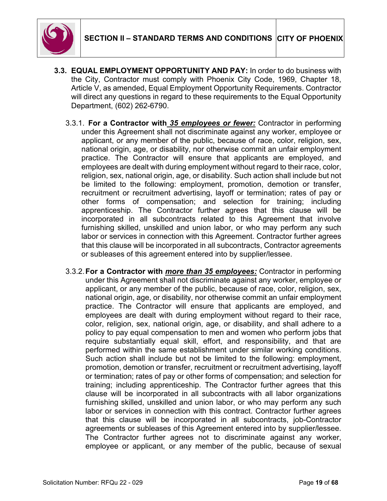

- **3.3. EQUAL EMPLOYMENT OPPORTUNITY AND PAY:** In order to do business with the City, Contractor must comply with Phoenix City Code, 1969, Chapter 18, Article V, as amended, Equal Employment Opportunity Requirements. Contractor will direct any questions in regard to these requirements to the Equal Opportunity Department, (602) 262-6790.
	- 3.3.1. **For a Contractor with** *35 employees or fewer:* Contractor in performing under this Agreement shall not discriminate against any worker, employee or applicant, or any member of the public, because of race, color, religion, sex, national origin, age, or disability, nor otherwise commit an unfair employment practice. The Contractor will ensure that applicants are employed, and employees are dealt with during employment without regard to their race, color, religion, sex, national origin, age, or disability. Such action shall include but not be limited to the following: employment, promotion, demotion or transfer, recruitment or recruitment advertising, layoff or termination; rates of pay or other forms of compensation; and selection for training; including apprenticeship. The Contractor further agrees that this clause will be incorporated in all subcontracts related to this Agreement that involve furnishing skilled, unskilled and union labor, or who may perform any such labor or services in connection with this Agreement. Contractor further agrees that this clause will be incorporated in all subcontracts, Contractor agreements or subleases of this agreement entered into by supplier/lessee.
	- 3.3.2.**For a Contractor with** *more than 35 employees:* Contractor in performing under this Agreement shall not discriminate against any worker, employee or applicant, or any member of the public, because of race, color, religion, sex, national origin, age, or disability, nor otherwise commit an unfair employment practice. The Contractor will ensure that applicants are employed, and employees are dealt with during employment without regard to their race, color, religion, sex, national origin, age, or disability, and shall adhere to a policy to pay equal compensation to men and women who perform jobs that require substantially equal skill, effort, and responsibility, and that are performed within the same establishment under similar working conditions. Such action shall include but not be limited to the following: employment, promotion, demotion or transfer, recruitment or recruitment advertising, layoff or termination; rates of pay or other forms of compensation; and selection for training; including apprenticeship. The Contractor further agrees that this clause will be incorporated in all subcontracts with all labor organizations furnishing skilled, unskilled and union labor, or who may perform any such labor or services in connection with this contract. Contractor further agrees that this clause will be incorporated in all subcontracts, job-Contractor agreements or subleases of this Agreement entered into by supplier/lessee. The Contractor further agrees not to discriminate against any worker, employee or applicant, or any member of the public, because of sexual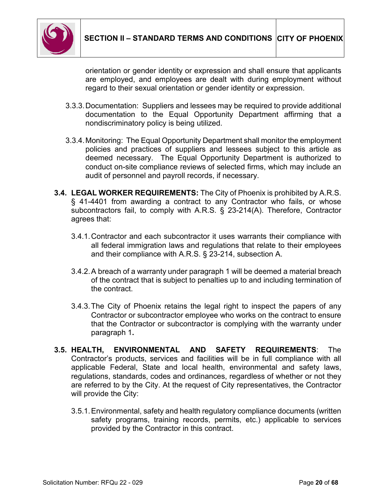

orientation or gender identity or expression and shall ensure that applicants are employed, and employees are dealt with during employment without regard to their sexual orientation or gender identity or expression.

- 3.3.3.Documentation: Suppliers and lessees may be required to provide additional documentation to the Equal Opportunity Department affirming that a nondiscriminatory policy is being utilized.
- 3.3.4.Monitoring: The Equal Opportunity Department shall monitor the employment policies and practices of suppliers and lessees subject to this article as deemed necessary. The Equal Opportunity Department is authorized to conduct on-site compliance reviews of selected firms, which may include an audit of personnel and payroll records, if necessary.
- **3.4. LEGAL WORKER REQUIREMENTS:** The City of Phoenix is prohibited by A.R.S. § 41-4401 from awarding a contract to any Contractor who fails, or whose subcontractors fail, to comply with A.R.S. § 23-214(A). Therefore, Contractor agrees that:
	- 3.4.1.Contractor and each subcontractor it uses warrants their compliance with all federal immigration laws and regulations that relate to their employees and their compliance with A.R.S. § 23-214, subsection A.
	- 3.4.2.A breach of a warranty under paragraph 1 will be deemed a material breach of the contract that is subject to penalties up to and including termination of the contract.
	- 3.4.3.The City of Phoenix retains the legal right to inspect the papers of any Contractor or subcontractor employee who works on the contract to ensure that the Contractor or subcontractor is complying with the warranty under paragraph 1**.**
- **3.5. HEALTH, ENVIRONMENTAL AND SAFETY REQUIREMENTS**: The Contractor's products, services and facilities will be in full compliance with all applicable Federal, State and local health, environmental and safety laws, regulations, standards, codes and ordinances, regardless of whether or not they are referred to by the City. At the request of City representatives, the Contractor will provide the City:
	- 3.5.1.Environmental, safety and health regulatory compliance documents (written safety programs, training records, permits, etc.) applicable to services provided by the Contractor in this contract.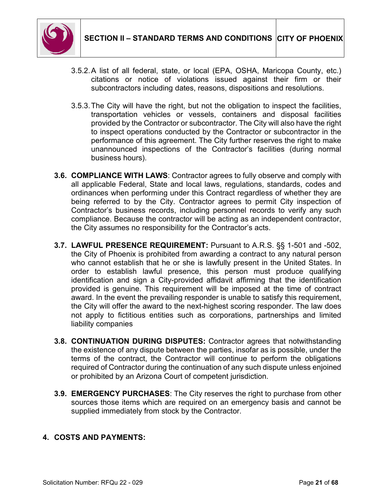

- 3.5.2.A list of all federal, state, or local (EPA, OSHA, Maricopa County, etc.) citations or notice of violations issued against their firm or their subcontractors including dates, reasons, dispositions and resolutions.
- 3.5.3.The City will have the right, but not the obligation to inspect the facilities, transportation vehicles or vessels, containers and disposal facilities provided by the Contractor or subcontractor. The City will also have the right to inspect operations conducted by the Contractor or subcontractor in the performance of this agreement. The City further reserves the right to make unannounced inspections of the Contractor's facilities (during normal business hours).
- **3.6. COMPLIANCE WITH LAWS**: Contractor agrees to fully observe and comply with all applicable Federal, State and local laws, regulations, standards, codes and ordinances when performing under this Contract regardless of whether they are being referred to by the City. Contractor agrees to permit City inspection of Contractor's business records, including personnel records to verify any such compliance. Because the contractor will be acting as an independent contractor, the City assumes no responsibility for the Contractor's acts.
- **3.7. LAWFUL PRESENCE REQUIREMENT:** Pursuant to A.R.S. §§ 1-501 and -502, the City of Phoenix is prohibited from awarding a contract to any natural person who cannot establish that he or she is lawfully present in the United States. In order to establish lawful presence, this person must produce qualifying identification and sign a City-provided affidavit affirming that the identification provided is genuine. This requirement will be imposed at the time of contract award. In the event the prevailing responder is unable to satisfy this requirement, the City will offer the award to the next-highest scoring responder. The law does not apply to fictitious entities such as corporations, partnerships and limited liability companies
- **3.8. CONTINUATION DURING DISPUTES:** Contractor agrees that notwithstanding the existence of any dispute between the parties, insofar as is possible, under the terms of the contract, the Contractor will continue to perform the obligations required of Contractor during the continuation of any such dispute unless enjoined or prohibited by an Arizona Court of competent jurisdiction.
- **3.9. EMERGENCY PURCHASES**: The City reserves the right to purchase from other sources those items which are required on an emergency basis and cannot be supplied immediately from stock by the Contractor.

### **4. COSTS AND PAYMENTS:**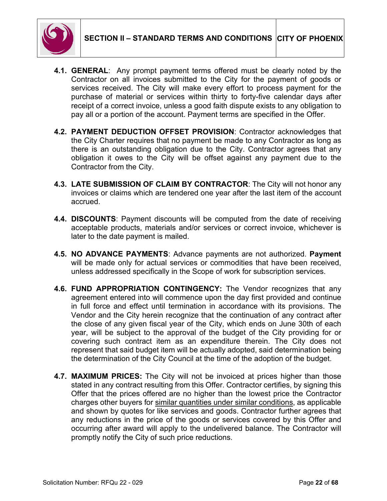

- **4.1. GENERAL**: Any prompt payment terms offered must be clearly noted by the Contractor on all invoices submitted to the City for the payment of goods or services received. The City will make every effort to process payment for the purchase of material or services within thirty to forty-five calendar days after receipt of a correct invoice, unless a good faith dispute exists to any obligation to pay all or a portion of the account. Payment terms are specified in the Offer.
- **4.2. PAYMENT DEDUCTION OFFSET PROVISION**: Contractor acknowledges that the City Charter requires that no payment be made to any Contractor as long as there is an outstanding obligation due to the City. Contractor agrees that any obligation it owes to the City will be offset against any payment due to the Contractor from the City.
- **4.3. LATE SUBMISSION OF CLAIM BY CONTRACTOR**: The City will not honor any invoices or claims which are tendered one year after the last item of the account accrued.
- **4.4. DISCOUNTS**: Payment discounts will be computed from the date of receiving acceptable products, materials and/or services or correct invoice, whichever is later to the date payment is mailed.
- **4.5. NO ADVANCE PAYMENTS**: Advance payments are not authorized. **Payment** will be made only for actual services or commodities that have been received, unless addressed specifically in the Scope of work for subscription services.
- **4.6. FUND APPROPRIATION CONTINGENCY:** The Vendor recognizes that any agreement entered into will commence upon the day first provided and continue in full force and effect until termination in accordance with its provisions. The Vendor and the City herein recognize that the continuation of any contract after the close of any given fiscal year of the City, which ends on June 30th of each year, will be subject to the approval of the budget of the City providing for or covering such contract item as an expenditure therein. The City does not represent that said budget item will be actually adopted, said determination being the determination of the City Council at the time of the adoption of the budget.
- **4.7. MAXIMUM PRICES:** The City will not be invoiced at prices higher than those stated in any contract resulting from this Offer. Contractor certifies, by signing this Offer that the prices offered are no higher than the lowest price the Contractor charges other buyers for similar quantities under similar conditions, as applicable and shown by quotes for like services and goods. Contractor further agrees that any reductions in the price of the goods or services covered by this Offer and occurring after award will apply to the undelivered balance. The Contractor will promptly notify the City of such price reductions.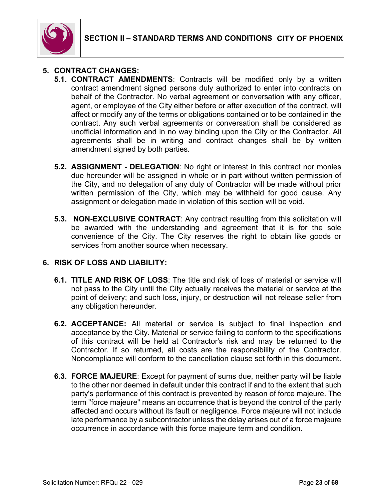

### **5. CONTRACT CHANGES:**

- **5.1. CONTRACT AMENDMENTS**: Contracts will be modified only by a written contract amendment signed persons duly authorized to enter into contracts on behalf of the Contractor. No verbal agreement or conversation with any officer, agent, or employee of the City either before or after execution of the contract, will affect or modify any of the terms or obligations contained or to be contained in the contract. Any such verbal agreements or conversation shall be considered as unofficial information and in no way binding upon the City or the Contractor. All agreements shall be in writing and contract changes shall be by written amendment signed by both parties.
- **5.2. ASSIGNMENT - DELEGATION**: No right or interest in this contract nor monies due hereunder will be assigned in whole or in part without written permission of the City, and no delegation of any duty of Contractor will be made without prior written permission of the City, which may be withheld for good cause. Any assignment or delegation made in violation of this section will be void.
- **5.3. NON-EXCLUSIVE CONTRACT**: Any contract resulting from this solicitation will be awarded with the understanding and agreement that it is for the sole convenience of the City. The City reserves the right to obtain like goods or services from another source when necessary.

#### **6. RISK OF LOSS AND LIABILITY:**

- **6.1. TITLE AND RISK OF LOSS**: The title and risk of loss of material or service will not pass to the City until the City actually receives the material or service at the point of delivery; and such loss, injury, or destruction will not release seller from any obligation hereunder.
- **6.2. ACCEPTANCE:** All material or service is subject to final inspection and acceptance by the City. Material or service failing to conform to the specifications of this contract will be held at Contractor's risk and may be returned to the Contractor. If so returned, all costs are the responsibility of the Contractor. Noncompliance will conform to the cancellation clause set forth in this document.
- **6.3. FORCE MAJEURE**: Except for payment of sums due, neither party will be liable to the other nor deemed in default under this contract if and to the extent that such party's performance of this contract is prevented by reason of force majeure. The term "force majeure" means an occurrence that is beyond the control of the party affected and occurs without its fault or negligence. Force majeure will not include late performance by a subcontractor unless the delay arises out of a force majeure occurrence in accordance with this force majeure term and condition.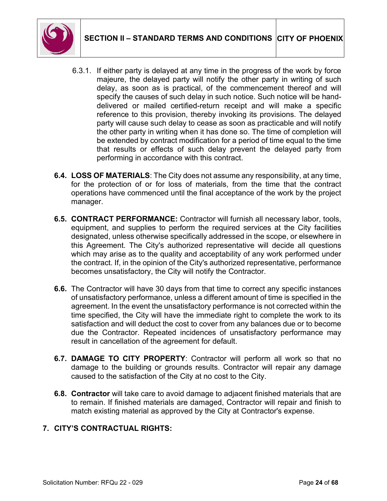

- 6.3.1. If either party is delayed at any time in the progress of the work by force majeure, the delayed party will notify the other party in writing of such delay, as soon as is practical, of the commencement thereof and will specify the causes of such delay in such notice. Such notice will be handdelivered or mailed certified-return receipt and will make a specific reference to this provision, thereby invoking its provisions. The delayed party will cause such delay to cease as soon as practicable and will notify the other party in writing when it has done so. The time of completion will be extended by contract modification for a period of time equal to the time that results or effects of such delay prevent the delayed party from performing in accordance with this contract.
- **6.4. LOSS OF MATERIALS**: The City does not assume any responsibility, at any time, for the protection of or for loss of materials, from the time that the contract operations have commenced until the final acceptance of the work by the project manager.
- **6.5. CONTRACT PERFORMANCE:** Contractor will furnish all necessary labor, tools, equipment, and supplies to perform the required services at the City facilities designated, unless otherwise specifically addressed in the scope, or elsewhere in this Agreement. The City's authorized representative will decide all questions which may arise as to the quality and acceptability of any work performed under the contract. If, in the opinion of the City's authorized representative, performance becomes unsatisfactory, the City will notify the Contractor.
- **6.6.** The Contractor will have 30 days from that time to correct any specific instances of unsatisfactory performance, unless a different amount of time is specified in the agreement. In the event the unsatisfactory performance is not corrected within the time specified, the City will have the immediate right to complete the work to its satisfaction and will deduct the cost to cover from any balances due or to become due the Contractor. Repeated incidences of unsatisfactory performance may result in cancellation of the agreement for default.
- **6.7. DAMAGE TO CITY PROPERTY**: Contractor will perform all work so that no damage to the building or grounds results. Contractor will repair any damage caused to the satisfaction of the City at no cost to the City.
- **6.8. Contractor** will take care to avoid damage to adjacent finished materials that are to remain. If finished materials are damaged, Contractor will repair and finish to match existing material as approved by the City at Contractor's expense.

## **7. CITY'S CONTRACTUAL RIGHTS:**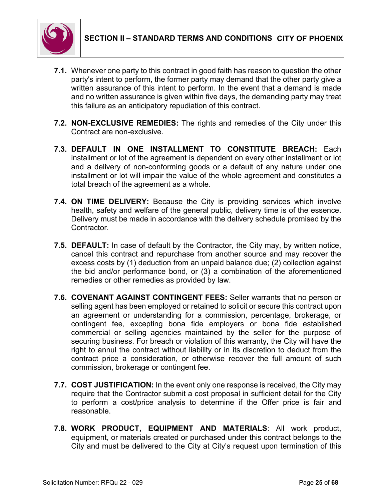- **7.1.** Whenever one party to this contract in good faith has reason to question the other party's intent to perform, the former party may demand that the other party give a written assurance of this intent to perform. In the event that a demand is made and no written assurance is given within five days, the demanding party may treat this failure as an anticipatory repudiation of this contract.
- **7.2. NON-EXCLUSIVE REMEDIES:** The rights and remedies of the City under this Contract are non-exclusive.
- **7.3. DEFAULT IN ONE INSTALLMENT TO CONSTITUTE BREACH:** Each installment or lot of the agreement is dependent on every other installment or lot and a delivery of non-conforming goods or a default of any nature under one installment or lot will impair the value of the whole agreement and constitutes a total breach of the agreement as a whole.
- **7.4. ON TIME DELIVERY:** Because the City is providing services which involve health, safety and welfare of the general public, delivery time is of the essence. Delivery must be made in accordance with the delivery schedule promised by the Contractor.
- **7.5. DEFAULT:** In case of default by the Contractor, the City may, by written notice, cancel this contract and repurchase from another source and may recover the excess costs by (1) deduction from an unpaid balance due; (2) collection against the bid and/or performance bond, or (3) a combination of the aforementioned remedies or other remedies as provided by law.
- **7.6. COVENANT AGAINST CONTINGENT FEES:** Seller warrants that no person or selling agent has been employed or retained to solicit or secure this contract upon an agreement or understanding for a commission, percentage, brokerage, or contingent fee, excepting bona fide employers or bona fide established commercial or selling agencies maintained by the seller for the purpose of securing business. For breach or violation of this warranty, the City will have the right to annul the contract without liability or in its discretion to deduct from the contract price a consideration, or otherwise recover the full amount of such commission, brokerage or contingent fee.
- **7.7. COST JUSTIFICATION:** In the event only one response is received, the City may require that the Contractor submit a cost proposal in sufficient detail for the City to perform a cost/price analysis to determine if the Offer price is fair and reasonable.
- **7.8. WORK PRODUCT, EQUIPMENT AND MATERIALS**: All work product, equipment, or materials created or purchased under this contract belongs to the City and must be delivered to the City at City's request upon termination of this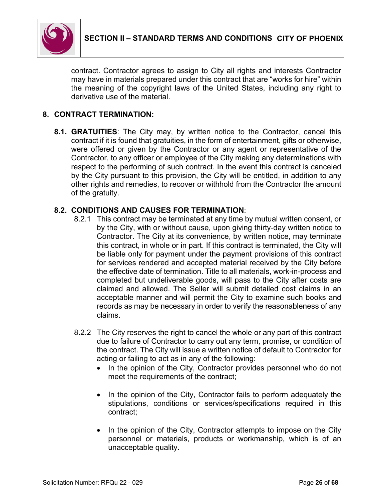

contract. Contractor agrees to assign to City all rights and interests Contractor may have in materials prepared under this contract that are "works for hire" within the meaning of the copyright laws of the United States, including any right to derivative use of the material.

### **8. CONTRACT TERMINATION:**

**8.1. GRATUITIES**: The City may, by written notice to the Contractor, cancel this contract if it is found that gratuities, in the form of entertainment, gifts or otherwise, were offered or given by the Contractor or any agent or representative of the Contractor, to any officer or employee of the City making any determinations with respect to the performing of such contract. In the event this contract is canceled by the City pursuant to this provision, the City will be entitled, in addition to any other rights and remedies, to recover or withhold from the Contractor the amount of the gratuity.

#### **8.2. CONDITIONS AND CAUSES FOR TERMINATION**:

- 8.2.1 This contract may be terminated at any time by mutual written consent, or by the City, with or without cause, upon giving thirty-day written notice to Contractor. The City at its convenience, by written notice, may terminate this contract, in whole or in part. If this contract is terminated, the City will be liable only for payment under the payment provisions of this contract for services rendered and accepted material received by the City before the effective date of termination. Title to all materials, work-in-process and completed but undeliverable goods, will pass to the City after costs are claimed and allowed. The Seller will submit detailed cost claims in an acceptable manner and will permit the City to examine such books and records as may be necessary in order to verify the reasonableness of any claims.
- 8.2.2 The City reserves the right to cancel the whole or any part of this contract due to failure of Contractor to carry out any term, promise, or condition of the contract. The City will issue a written notice of default to Contractor for acting or failing to act as in any of the following:
	- In the opinion of the City, Contractor provides personnel who do not meet the requirements of the contract;
	- In the opinion of the City, Contractor fails to perform adequately the stipulations, conditions or services/specifications required in this contract;
	- In the opinion of the City, Contractor attempts to impose on the City personnel or materials, products or workmanship, which is of an unacceptable quality.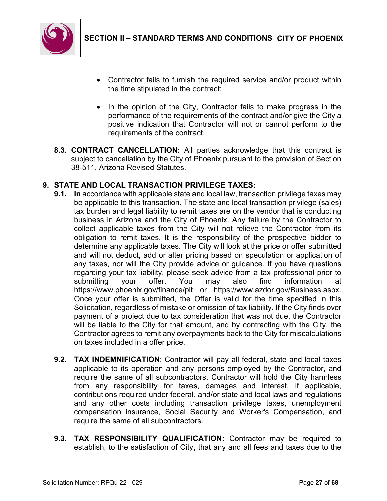

- Contractor fails to furnish the required service and/or product within the time stipulated in the contract;
- In the opinion of the City, Contractor fails to make progress in the performance of the requirements of the contract and/or give the City a positive indication that Contractor will not or cannot perform to the requirements of the contract.
- **8.3. CONTRACT CANCELLATION:** All parties acknowledge that this contract is subject to cancellation by the City of Phoenix pursuant to the provision of Section 38-511, Arizona Revised Statutes.

# **9. STATE AND LOCAL TRANSACTION PRIVILEGE TAXES:**

- **9.1. In** accordance with applicable state and local law, transaction privilege taxes may be applicable to this transaction. The state and local transaction privilege (sales) tax burden and legal liability to remit taxes are on the vendor that is conducting business in Arizona and the City of Phoenix. Any failure by the Contractor to collect applicable taxes from the City will not relieve the Contractor from its obligation to remit taxes. It is the responsibility of the prospective bidder to determine any applicable taxes. The City will look at the price or offer submitted and will not deduct, add or alter pricing based on speculation or application of any taxes, nor will the City provide advice or guidance. If you have questions regarding your tax liability, please seek advice from a tax professional prior to submitting your offer. You may also find information at https://www.phoenix.gov/finance/plt or https://www.azdor.gov/Business.aspx. Once your offer is submitted, the Offer is valid for the time specified in this Solicitation, regardless of mistake or omission of tax liability. If the City finds over payment of a project due to tax consideration that was not due, the Contractor will be liable to the City for that amount, and by contracting with the City, the Contractor agrees to remit any overpayments back to the City for miscalculations on taxes included in a offer price.
- **9.2. TAX INDEMNIFICATION**: Contractor will pay all federal, state and local taxes applicable to its operation and any persons employed by the Contractor, and require the same of all subcontractors. Contractor will hold the City harmless from any responsibility for taxes, damages and interest, if applicable, contributions required under federal, and/or state and local laws and regulations and any other costs including transaction privilege taxes, unemployment compensation insurance, Social Security and Worker's Compensation, and require the same of all subcontractors.
- **9.3. TAX RESPONSIBILITY QUALIFICATION:** Contractor may be required to establish, to the satisfaction of City, that any and all fees and taxes due to the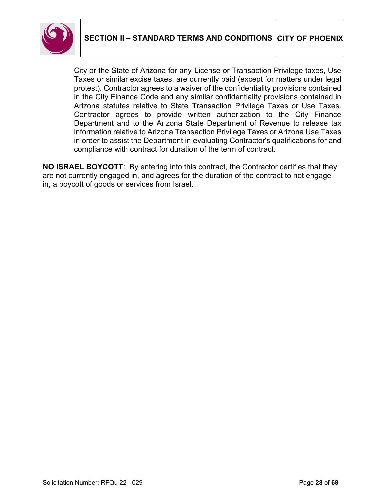

City or the State of Arizona for any License or Transaction Privilege taxes, Use Taxes or similar excise taxes, are currently paid (except for matters under legal protest). Contractor agrees to a waiver of the confidentiality provisions contained in the City Finance Code and any similar confidentiality provisions contained in Arizona statutes relative to State Transaction Privilege Taxes or Use Taxes. Contractor agrees to provide written authorization to the City Finance Department and to the Arizona State Department of Revenue to release tax information relative to Arizona Transaction Privilege Taxes or Arizona Use Taxes in order to assist the Department in evaluating Contractor's qualifications for and compliance with contract for duration of the term of contract.

**NO ISRAEL BOYCOTT**: By entering into this contract, the Contractor certifies that they are not currently engaged in, and agrees for the duration of the contract to not engage in, a boycott of goods or services from Israel.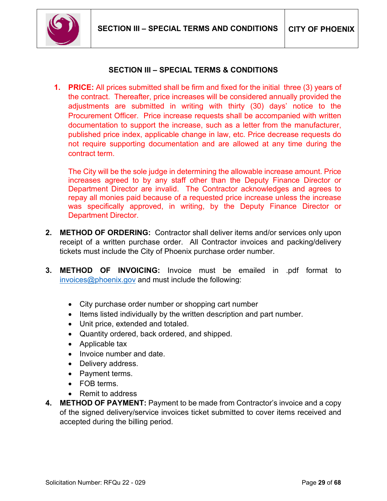

### **SECTION III – SPECIAL TERMS & CONDITIONS**

<span id="page-28-0"></span>**1. PRICE:** All prices submitted shall be firm and fixed for the initial three (3) years of the contract. Thereafter, price increases will be considered annually provided the adjustments are submitted in writing with thirty (30) days' notice to the Procurement Officer. Price increase requests shall be accompanied with written documentation to support the increase, such as a letter from the manufacturer, published price index, applicable change in law, etc. Price decrease requests do not require supporting documentation and are allowed at any time during the contract term.

The City will be the sole judge in determining the allowable increase amount. Price increases agreed to by any staff other than the Deputy Finance Director or Department Director are invalid. The Contractor acknowledges and agrees to repay all monies paid because of a requested price increase unless the increase was specifically approved, in writing, by the Deputy Finance Director or Department Director.

- **2. METHOD OF ORDERING:** Contractor shall deliver items and/or services only upon receipt of a written purchase order. All Contractor invoices and packing/delivery tickets must include the City of Phoenix purchase order number.
- **3. METHOD OF INVOICING:** Invoice must be emailed in .pdf format to [invoices@phoenix.gov](mailto:invoices@phoenix.gov) and must include the following:
	- City purchase order number or shopping cart number
	- Items listed individually by the written description and part number.
	- Unit price, extended and totaled.
	- Quantity ordered, back ordered, and shipped.
	- Applicable tax
	- Invoice number and date.
	- Delivery address.
	- Payment terms.
	- FOB terms.
	- Remit to address
- **4. METHOD OF PAYMENT:** Payment to be made from Contractor's invoice and a copy of the signed delivery/service invoices ticket submitted to cover items received and accepted during the billing period.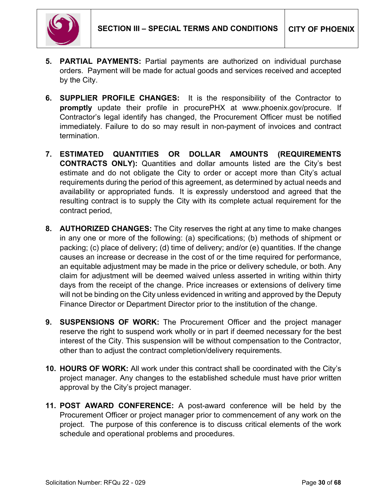

- **5. PARTIAL PAYMENTS:** Partial payments are authorized on individual purchase orders. Payment will be made for actual goods and services received and accepted by the City.
- **6. SUPPLIER PROFILE CHANGES:** It is the responsibility of the Contractor to **promptly** update their profile in procurePHX at www.phoenix.gov/procure. If Contractor's legal identify has changed, the Procurement Officer must be notified immediately. Failure to do so may result in non-payment of invoices and contract termination.
- **7. ESTIMATED QUANTITIES OR DOLLAR AMOUNTS (REQUIREMENTS CONTRACTS ONLY):** Quantities and dollar amounts listed are the City's best estimate and do not obligate the City to order or accept more than City's actual requirements during the period of this agreement, as determined by actual needs and availability or appropriated funds. It is expressly understood and agreed that the resulting contract is to supply the City with its complete actual requirement for the contract period,
- **8. AUTHORIZED CHANGES:** The City reserves the right at any time to make changes in any one or more of the following: (a) specifications; (b) methods of shipment or packing; (c) place of delivery; (d) time of delivery; and/or (e) quantities. If the change causes an increase or decrease in the cost of or the time required for performance, an equitable adjustment may be made in the price or delivery schedule, or both. Any claim for adjustment will be deemed waived unless asserted in writing within thirty days from the receipt of the change. Price increases or extensions of delivery time will not be binding on the City unless evidenced in writing and approved by the Deputy Finance Director or Department Director prior to the institution of the change.
- **9. SUSPENSIONS OF WORK:** The Procurement Officer and the project manager reserve the right to suspend work wholly or in part if deemed necessary for the best interest of the City. This suspension will be without compensation to the Contractor, other than to adjust the contract completion/delivery requirements.
- **10. HOURS OF WORK:** All work under this contract shall be coordinated with the City's project manager. Any changes to the established schedule must have prior written approval by the City's project manager.
- **11. POST AWARD CONFERENCE:** A post-award conference will be held by the Procurement Officer or project manager prior to commencement of any work on the project. The purpose of this conference is to discuss critical elements of the work schedule and operational problems and procedures.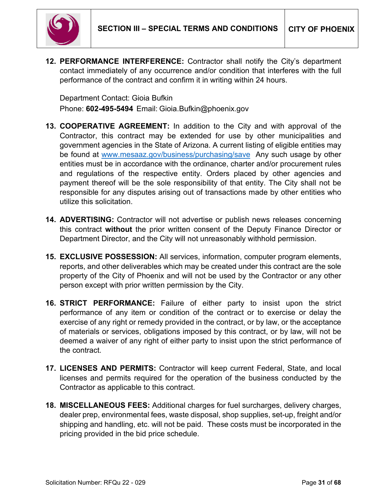

**12. PERFORMANCE INTERFERENCE:** Contractor shall notify the City's department contact immediately of any occurrence and/or condition that interferes with the full performance of the contract and confirm it in writing within 24 hours.

Department Contact: Gioia Bufkin Phone: **602-495-5494** Email: Gioia.Bufkin@phoenix.gov

- **13. COOPERATIVE AGREEMENT:** In addition to the City and with approval of the Contractor, this contract may be extended for use by other municipalities and government agencies in the State of Arizona. A current listing of eligible entities may be found at [www.mesaaz.gov/business/purchasing/save](http://www.mesaaz.gov/business/purchasing/save) Any such usage by other entities must be in accordance with the ordinance, charter and/or procurement rules and regulations of the respective entity. Orders placed by other agencies and payment thereof will be the sole responsibility of that entity. The City shall not be responsible for any disputes arising out of transactions made by other entities who utilize this solicitation.
- **14. ADVERTISING:** Contractor will not advertise or publish news releases concerning this contract **without** the prior written consent of the Deputy Finance Director or Department Director, and the City will not unreasonably withhold permission.
- **15. EXCLUSIVE POSSESSION:** All services, information, computer program elements, reports, and other deliverables which may be created under this contract are the sole property of the City of Phoenix and will not be used by the Contractor or any other person except with prior written permission by the City.
- **16. STRICT PERFORMANCE:** Failure of either party to insist upon the strict performance of any item or condition of the contract or to exercise or delay the exercise of any right or remedy provided in the contract, or by law, or the acceptance of materials or services, obligations imposed by this contract, or by law, will not be deemed a waiver of any right of either party to insist upon the strict performance of the contract.
- **17. LICENSES AND PERMITS:** Contractor will keep current Federal, State, and local licenses and permits required for the operation of the business conducted by the Contractor as applicable to this contract.
- **18. MISCELLANEOUS FEES:** Additional charges for fuel surcharges, delivery charges, dealer prep, environmental fees, waste disposal, shop supplies, set-up, freight and/or shipping and handling, etc. will not be paid. These costs must be incorporated in the pricing provided in the bid price schedule.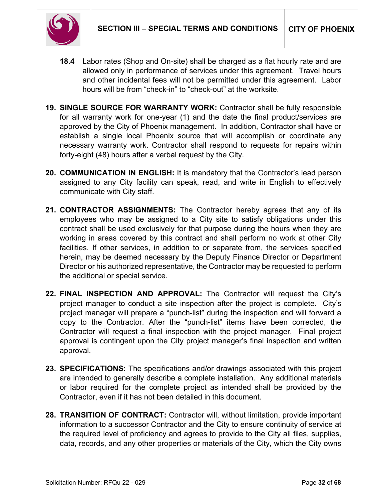

- **18.4** Labor rates (Shop and On-site) shall be charged as a flat hourly rate and are allowed only in performance of services under this agreement. Travel hours and other incidental fees will not be permitted under this agreement. Labor hours will be from "check-in" to "check-out" at the worksite.
- **19. SINGLE SOURCE FOR WARRANTY WORK:** Contractor shall be fully responsible for all warranty work for one-year (1) and the date the final product/services are approved by the City of Phoenix management. In addition, Contractor shall have or establish a single local Phoenix source that will accomplish or coordinate any necessary warranty work. Contractor shall respond to requests for repairs within forty-eight (48) hours after a verbal request by the City.
- **20. COMMUNICATION IN ENGLISH:** It is mandatory that the Contractor's lead person assigned to any City facility can speak, read, and write in English to effectively communicate with City staff.
- **21. CONTRACTOR ASSIGNMENTS:** The Contractor hereby agrees that any of its employees who may be assigned to a City site to satisfy obligations under this contract shall be used exclusively for that purpose during the hours when they are working in areas covered by this contract and shall perform no work at other City facilities. If other services, in addition to or separate from, the services specified herein, may be deemed necessary by the Deputy Finance Director or Department Director or his authorized representative, the Contractor may be requested to perform the additional or special service.
- **22. FINAL INSPECTION AND APPROVAL:** The Contractor will request the City's project manager to conduct a site inspection after the project is complete. City's project manager will prepare a "punch-list" during the inspection and will forward a copy to the Contractor. After the "punch-list" items have been corrected, the Contractor will request a final inspection with the project manager. Final project approval is contingent upon the City project manager's final inspection and written approval.
- **23. SPECIFICATIONS:** The specifications and/or drawings associated with this project are intended to generally describe a complete installation. Any additional materials or labor required for the complete project as intended shall be provided by the Contractor, even if it has not been detailed in this document.
- **28. TRANSITION OF CONTRACT:** Contractor will, without limitation, provide important information to a successor Contractor and the City to ensure continuity of service at the required level of proficiency and agrees to provide to the City all files, supplies, data, records, and any other properties or materials of the City, which the City owns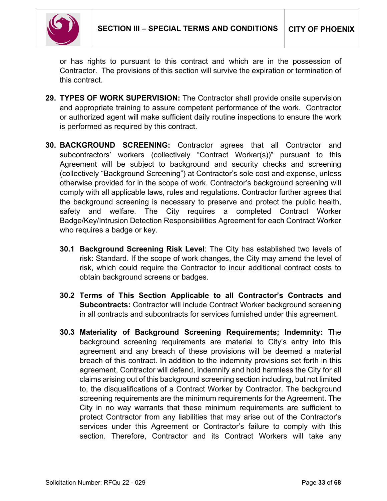

or has rights to pursuant to this contract and which are in the possession of Contractor. The provisions of this section will survive the expiration or termination of this contract.

- **29. TYPES OF WORK SUPERVISION:** The Contractor shall provide onsite supervision and appropriate training to assure competent performance of the work. Contractor or authorized agent will make sufficient daily routine inspections to ensure the work is performed as required by this contract.
- **30. BACKGROUND SCREENING:** Contractor agrees that all Contractor and subcontractors' workers (collectively "Contract Worker(s))" pursuant to this Agreement will be subject to background and security checks and screening (collectively "Background Screening") at Contractor's sole cost and expense, unless otherwise provided for in the scope of work. Contractor's background screening will comply with all applicable laws, rules and regulations. Contractor further agrees that the background screening is necessary to preserve and protect the public health, safety and welfare. The City requires a completed Contract Worker Badge/Key/Intrusion Detection Responsibilities Agreement for each Contract Worker who requires a badge or key.
	- **30.1 Background Screening Risk Level**: The City has established two levels of risk: Standard. If the scope of work changes, the City may amend the level of risk, which could require the Contractor to incur additional contract costs to obtain background screens or badges.
	- **30.2 Terms of This Section Applicable to all Contractor's Contracts and Subcontracts:** Contractor will include Contract Worker background screening in all contracts and subcontracts for services furnished under this agreement.
	- **30.3 Materiality of Background Screening Requirements; Indemnity:** The background screening requirements are material to City's entry into this agreement and any breach of these provisions will be deemed a material breach of this contract. In addition to the indemnity provisions set forth in this agreement, Contractor will defend, indemnify and hold harmless the City for all claims arising out of this background screening section including, but not limited to, the disqualifications of a Contract Worker by Contractor. The background screening requirements are the minimum requirements for the Agreement. The City in no way warrants that these minimum requirements are sufficient to protect Contractor from any liabilities that may arise out of the Contractor's services under this Agreement or Contractor's failure to comply with this section. Therefore, Contractor and its Contract Workers will take any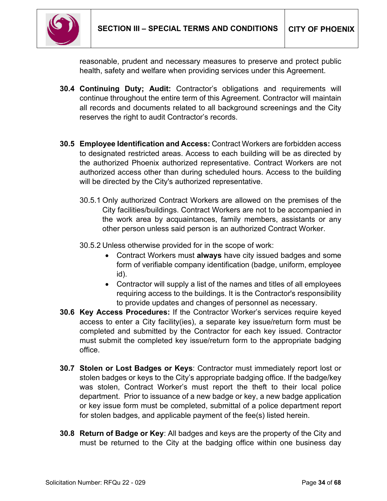

reasonable, prudent and necessary measures to preserve and protect public health, safety and welfare when providing services under this Agreement.

- **30.4 Continuing Duty; Audit:** Contractor's obligations and requirements will continue throughout the entire term of this Agreement. Contractor will maintain all records and documents related to all background screenings and the City reserves the right to audit Contractor's records.
- **30.5 Employee Identification and Access:** Contract Workers are forbidden access to designated restricted areas. Access to each building will be as directed by the authorized Phoenix authorized representative. Contract Workers are not authorized access other than during scheduled hours. Access to the building will be directed by the City's authorized representative.
	- 30.5.1 Only authorized Contract Workers are allowed on the premises of the City facilities/buildings. Contract Workers are not to be accompanied in the work area by acquaintances, family members, assistants or any other person unless said person is an authorized Contract Worker.
	- 30.5.2 Unless otherwise provided for in the scope of work:
		- Contract Workers must **always** have city issued badges and some form of verifiable company identification (badge, uniform, employee id).
		- Contractor will supply a list of the names and titles of all employees requiring access to the buildings. It is the Contractor's responsibility to provide updates and changes of personnel as necessary.
- **30.6 Key Access Procedures:** If the Contractor Worker's services require keyed access to enter a City facility(ies), a separate key issue/return form must be completed and submitted by the Contractor for each key issued. Contractor must submit the completed key issue/return form to the appropriate badging office.
- **30.7 Stolen or Lost Badges or Keys**: Contractor must immediately report lost or stolen badges or keys to the City's appropriate badging office. If the badge/key was stolen, Contract Worker's must report the theft to their local police department. Prior to issuance of a new badge or key, a new badge application or key issue form must be completed, submittal of a police department report for stolen badges, and applicable payment of the fee(s) listed herein.
- **30.8 Return of Badge or Key**: All badges and keys are the property of the City and must be returned to the City at the badging office within one business day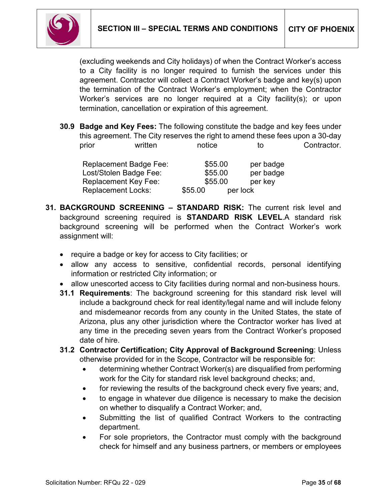

(excluding weekends and City holidays) of when the Contract Worker's access to a City facility is no longer required to furnish the services under this agreement. Contractor will collect a Contract Worker's badge and key(s) upon the termination of the Contract Worker's employment; when the Contractor Worker's services are no longer required at a City facility(s); or upon termination, cancellation or expiration of this agreement.

**30.9 Badge and Key Fees:** The following constitute the badge and key fees under this agreement. The City reserves the right to amend these fees upon a 30-day prior written notice to Contractor.

| <b>Replacement Badge Fee:</b> | \$55.00             | per badge |
|-------------------------------|---------------------|-----------|
| Lost/Stolen Badge Fee:        | \$55.00             | per badge |
| <b>Replacement Key Fee:</b>   | \$55.00             | per key   |
| <b>Replacement Locks:</b>     | \$55.00<br>per lock |           |

- **31. BACKGROUND SCREENING – STANDARD RISK:** The current risk level and background screening required is **STANDARD RISK LEVEL**.A standard risk background screening will be performed when the Contract Worker's work assignment will:
	- require a badge or key for access to City facilities; or
	- allow any access to sensitive, confidential records, personal identifying information or restricted City information; or
	- allow unescorted access to City facilities during normal and non-business hours.
	- **31.1 Requirements**: The background screening for this standard risk level will include a background check for real identity/legal name and will include felony and misdemeanor records from any county in the United States, the state of Arizona, plus any other jurisdiction where the Contractor worker has lived at any time in the preceding seven years from the Contract Worker's proposed date of hire.
	- **31.2 Contractor Certification; City Approval of Background Screening**: Unless otherwise provided for in the Scope, Contractor will be responsible for:
		- determining whether Contract Worker(s) are disqualified from performing work for the City for standard risk level background checks; and,
		- for reviewing the results of the background check every five years; and,
		- to engage in whatever due diligence is necessary to make the decision on whether to disqualify a Contract Worker; and,
		- Submitting the list of qualified Contract Workers to the contracting department.
		- For sole proprietors, the Contractor must comply with the background check for himself and any business partners, or members or employees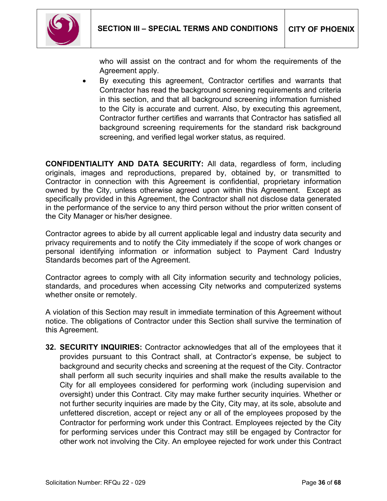

who will assist on the contract and for whom the requirements of the Agreement apply.

By executing this agreement, Contractor certifies and warrants that Contractor has read the background screening requirements and criteria in this section, and that all background screening information furnished to the City is accurate and current. Also, by executing this agreement, Contractor further certifies and warrants that Contractor has satisfied all background screening requirements for the standard risk background screening, and verified legal worker status, as required.

**CONFIDENTIALITY AND DATA SECURITY:** All data, regardless of form, including originals, images and reproductions, prepared by, obtained by, or transmitted to Contractor in connection with this Agreement is confidential, proprietary information owned by the City, unless otherwise agreed upon within this Agreement. Except as specifically provided in this Agreement, the Contractor shall not disclose data generated in the performance of the service to any third person without the prior written consent of the City Manager or his/her designee.

Contractor agrees to abide by all current applicable legal and industry data security and privacy requirements and to notify the City immediately if the scope of work changes or personal identifying information or information subject to Payment Card Industry Standards becomes part of the Agreement.

Contractor agrees to comply with all City information security and technology policies, standards, and procedures when accessing City networks and computerized systems whether onsite or remotely.

A violation of this Section may result in immediate termination of this Agreement without notice. The obligations of Contractor under this Section shall survive the termination of this Agreement.

**32. SECURITY INQUIRIES:** Contractor acknowledges that all of the employees that it provides pursuant to this Contract shall, at Contractor's expense, be subject to background and security checks and screening at the request of the City. Contractor shall perform all such security inquiries and shall make the results available to the City for all employees considered for performing work (including supervision and oversight) under this Contract. City may make further security inquiries. Whether or not further security inquiries are made by the City, City may, at its sole, absolute and unfettered discretion, accept or reject any or all of the employees proposed by the Contractor for performing work under this Contract. Employees rejected by the City for performing services under this Contract may still be engaged by Contractor for other work not involving the City. An employee rejected for work under this Contract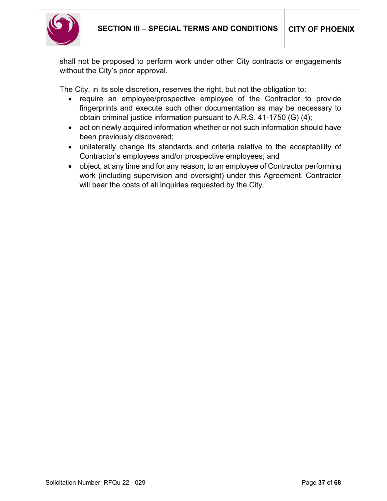

shall not be proposed to perform work under other City contracts or engagements without the City's prior approval.

The City, in its sole discretion, reserves the right, but not the obligation to:

- require an employee/prospective employee of the Contractor to provide fingerprints and execute such other documentation as may be necessary to obtain criminal justice information pursuant to A.R.S. 41-1750 (G) (4);
- act on newly acquired information whether or not such information should have been previously discovered;
- unilaterally change its standards and criteria relative to the acceptability of Contractor's employees and/or prospective employees; and
- object, at any time and for any reason, to an employee of Contractor performing work (including supervision and oversight) under this Agreement. Contractor will bear the costs of all inquiries requested by the City.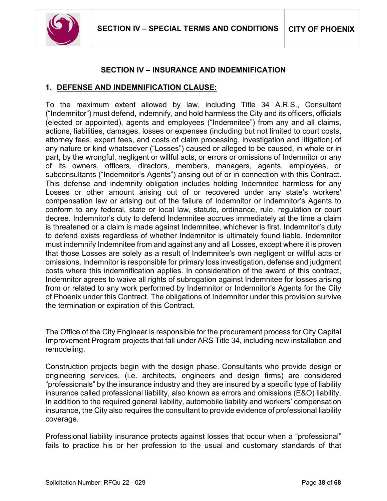

#### **SECTION IV – INSURANCE AND INDEMNIFICATION**

#### <span id="page-37-0"></span>**1. DEFENSE AND INDEMNIFICATION CLAUSE:**

To the maximum extent allowed by law, including Title 34 A.R.S., Consultant ("Indemnitor") must defend, indemnify, and hold harmless the City and its officers, officials (elected or appointed), agents and employees ("Indemnitee") from any and all claims, actions, liabilities, damages, losses or expenses (including but not limited to court costs, attorney fees, expert fees, and costs of claim processing, investigation and litigation) of any nature or kind whatsoever ("Losses") caused or alleged to be caused, in whole or in part, by the wrongful, negligent or willful acts, or errors or omissions of Indemnitor or any of its owners, officers, directors, members, managers, agents, employees, or subconsultants ("Indemnitor's Agents") arising out of or in connection with this Contract. This defense and indemnity obligation includes holding Indemnitee harmless for any Losses or other amount arising out of or recovered under any state's workers' compensation law or arising out of the failure of Indemnitor or Indemnitor's Agents to conform to any federal, state or local law, statute, ordinance, rule, regulation or court decree. Indemnitor's duty to defend Indemnitee accrues immediately at the time a claim is threatened or a claim is made against Indemnitee, whichever is first. Indemnitor's duty to defend exists regardless of whether Indemnitor is ultimately found liable. Indemnitor must indemnify Indemnitee from and against any and all Losses, except where it is proven that those Losses are solely as a result of Indemnitee's own negligent or willful acts or omissions. Indemnitor is responsible for primary loss investigation, defense and judgment costs where this indemnification applies. In consideration of the award of this contract, Indemnitor agrees to waive all rights of subrogation against Indemnitee for losses arising from or related to any work performed by Indemnitor or Indemnitor's Agents for the City of Phoenix under this Contract. The obligations of Indemnitor under this provision survive the termination or expiration of this Contract.

The Office of the City Engineer is responsible for the procurement process for City Capital Improvement Program projects that fall under ARS Title 34, including new installation and remodeling.

Construction projects begin with the design phase. Consultants who provide design or engineering services, (i.e. architects, engineers and design firms) are considered "professionals" by the insurance industry and they are insured by a specific type of liability insurance called professional liability, also known as errors and omissions (E&O) liability. In addition to the required general liability, automobile liability and workers' compensation insurance, the City also requires the consultant to provide evidence of professional liability coverage.

Professional liability insurance protects against losses that occur when a "professional" fails to practice his or her profession to the usual and customary standards of that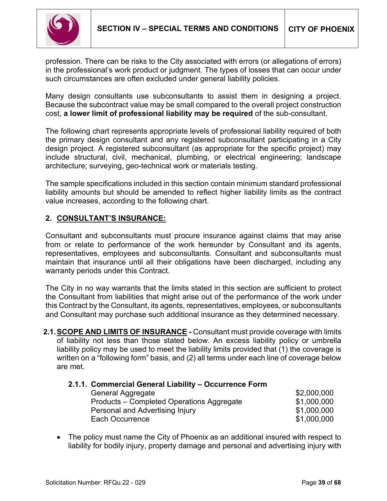

profession. There can be risks to the City associated with errors (or allegations of errors) in the professional's work product or judgment. The types of losses that can occur under such circumstances are often excluded under general liability policies.

Many design consultants use subconsultants to assist them in designing a project. Because the subcontract value may be small compared to the overall project construction cost, **a lower limit of professional liability may be required** of the sub-consultant.

The following chart represents appropriate levels of professional liability required of both the primary design consultant and any registered subconsultant participating in a City design project. A registered subconsultant (as appropriate for the specific project) may include structural, civil, mechanical, plumbing, or electrical engineering; landscape architecture; surveying, geo-technical work or materials testing.

The sample specifications included in this section contain minimum standard professional liability amounts but should be amended to reflect higher liability limits as the contract value increases, according to the following chart.

# **2. CONSULTANT'S INSURANCE:**

Consultant and subconsultants must procure insurance against claims that may arise from or relate to performance of the work hereunder by Consultant and its agents, representatives, employees and subconsultants. Consultant and subconsultants must maintain that insurance until all their obligations have been discharged, including any warranty periods under this Contract.

The City in no way warrants that the limits stated in this section are sufficient to protect the Consultant from liabilities that might arise out of the performance of the work under this Contract by the Consultant, its agents, representatives, employees, or subconsultants and Consultant may purchase such additional insurance as they determined necessary.

**2.1. SCOPE AND LIMITS OF INSURANCE** - Consultant must provide coverage with limits of liability not less than those stated below. An excess liability policy or umbrella liability policy may be used to meet the liability limits provided that (1) the coverage is written on a "following form" basis, and (2) all terms under each line of coverage below are met.

| 2.1.1. Commercial General Liability - Occurrence Form |             |
|-------------------------------------------------------|-------------|
| <b>General Aggregate</b>                              | \$2,000,000 |
| Products – Completed Operations Aggregate             | \$1,000,000 |
| Personal and Advertising Injury                       | \$1,000,000 |
| Each Occurrence                                       | \$1,000,000 |

• The policy must name the City of Phoenix as an additional insured with respect to liability for bodily injury, property damage and personal and advertising injury with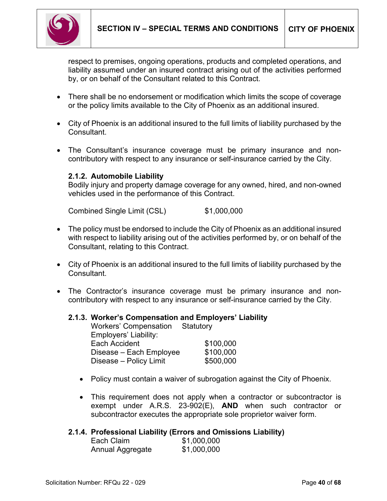

respect to premises, ongoing operations, products and completed operations, and liability assumed under an insured contract arising out of the activities performed by, or on behalf of the Consultant related to this Contract.

- There shall be no endorsement or modification which limits the scope of coverage or the policy limits available to the City of Phoenix as an additional insured.
- City of Phoenix is an additional insured to the full limits of liability purchased by the Consultant.
- The Consultant's insurance coverage must be primary insurance and noncontributory with respect to any insurance or self-insurance carried by the City.

#### **2.1.2. Automobile Liability**

Bodily injury and property damage coverage for any owned, hired, and non-owned vehicles used in the performance of this Contract.

Combined Single Limit (CSL) \$1,000,000

- The policy must be endorsed to include the City of Phoenix as an additional insured with respect to liability arising out of the activities performed by, or on behalf of the Consultant, relating to this Contract.
- City of Phoenix is an additional insured to the full limits of liability purchased by the Consultant.
- The Contractor's insurance coverage must be primary insurance and noncontributory with respect to any insurance or self-insurance carried by the City.

#### **2.1.3. Worker's Compensation and Employers' Liability**

| Workers' Compensation   | Statutory |
|-------------------------|-----------|
| Employers' Liability:   |           |
| Each Accident           | \$100,000 |
| Disease - Each Employee | \$100,000 |
| Disease - Policy Limit  | \$500,000 |

- Policy must contain a waiver of subrogation against the City of Phoenix.
- This requirement does not apply when a contractor or subcontractor is exempt under A.R.S. 23-902(E), **AND** when such contractor or subcontractor executes the appropriate sole proprietor waiver form.

#### **2.1.4. Professional Liability (Errors and Omissions Liability)**

| Each Claim       | \$1,000,000 |
|------------------|-------------|
| Annual Aggregate | \$1,000,000 |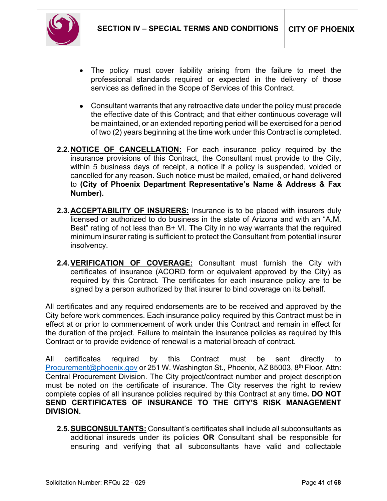

- The policy must cover liability arising from the failure to meet the professional standards required or expected in the delivery of those services as defined in the Scope of Services of this Contract.
- Consultant warrants that any retroactive date under the policy must precede the effective date of this Contract; and that either continuous coverage will be maintained, or an extended reporting period will be exercised for a period of two (2) years beginning at the time work under this Contract is completed.
- **2.2.NOTICE OF CANCELLATION:** For each insurance policy required by the insurance provisions of this Contract, the Consultant must provide to the City, within 5 business days of receipt, a notice if a policy is suspended, voided or cancelled for any reason. Such notice must be mailed, emailed, or hand delivered to **(City of Phoenix Department Representative's Name & Address & Fax Number).**
- **2.3.ACCEPTABILITY OF INSURERS:** Insurance is to be placed with insurers duly licensed or authorized to do business in the state of Arizona and with an "A.M. Best" rating of not less than B+ VI. The City in no way warrants that the required minimum insurer rating is sufficient to protect the Consultant from potential insurer insolvency.
- **2.4.VERIFICATION OF COVERAGE:** Consultant must furnish the City with certificates of insurance (ACORD form or equivalent approved by the City) as required by this Contract. The certificates for each insurance policy are to be signed by a person authorized by that insurer to bind coverage on its behalf*.*

All certificates and any required endorsements are to be received and approved by the City before work commences. Each insurance policy required by this Contract must be in effect at or prior to commencement of work under this Contract and remain in effect for the duration of the project. Failure to maintain the insurance policies as required by this Contract or to provide evidence of renewal is a material breach of contract.

All certificates required by this Contract must be sent directly to [Procurement@phoenix.gov](mailto:Procurement@phoenix.gov) or 251 W. Washington St., Phoenix, AZ 85003, 8<sup>th</sup> Floor, Attn: Central Procurement Division. The City project/contract number and project description must be noted on the certificate of insurance. The City reserves the right to review complete copies of all insurance policies required by this Contract at any time**. DO NOT SEND CERTIFICATES OF INSURANCE TO THE CITY'S RISK MANAGEMENT DIVISION.**

**2.5.SUBCONSULTANTS:** Consultant's certificates shall include all subconsultants as additional insureds under its policies **OR** Consultant shall be responsible for ensuring and verifying that all subconsultants have valid and collectable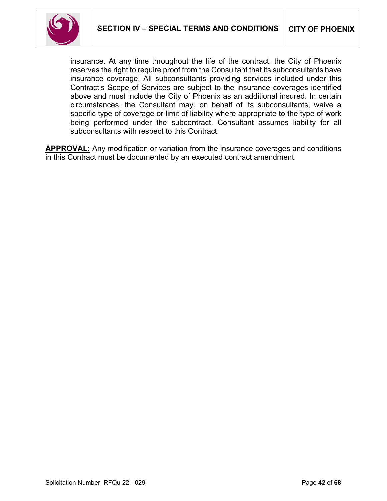

insurance. At any time throughout the life of the contract, the City of Phoenix reserves the right to require proof from the Consultant that its subconsultants have insurance coverage. All subconsultants providing services included under this Contract's Scope of Services are subject to the insurance coverages identified above and must include the City of Phoenix as an additional insured. In certain circumstances, the Consultant may, on behalf of its subconsultants, waive a specific type of coverage or limit of liability where appropriate to the type of work being performed under the subcontract. Consultant assumes liability for all subconsultants with respect to this Contract.

**APPROVAL:** Any modification or variation from the insurance coverages and conditions in this Contract must be documented by an executed contract amendment.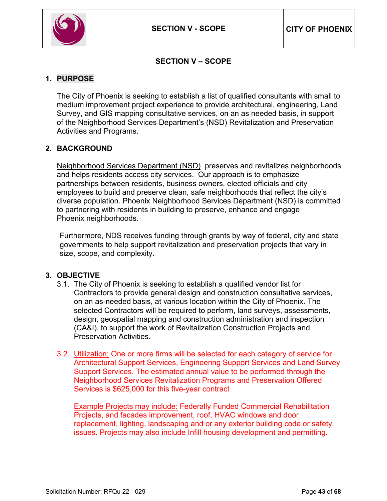

# **SECTION V – SCOPE**

# <span id="page-42-0"></span>**1. PURPOSE**

The City of Phoenix is seeking to establish a list of qualified consultants with small to medium improvement project experience to provide architectural, engineering, Land Survey, and GIS mapping consultative services, on an as needed basis, in support of the Neighborhood Services Department's (NSD) Revitalization and Preservation Activities and Programs.

### **2. BACKGROUND**

[Neighborhood Services Department \(NSD\)](https://www.phoenix.gov/nsd/about-us) preserves and revitalizes neighborhoods and helps residents access city services. Our approach is to emphasize partnerships between residents, business owners, elected officials and city employees to build and preserve clean, safe neighborhoods that reflect the city's diverse population. Phoenix Neighborhood Services Department (NSD) is committed to partnering with residents in building to preserve, enhance and engage Phoenix neighborhoods.

Furthermore, NDS receives funding through grants by way of federal, city and state governments to help support revitalization and preservation projects that vary in size, scope, and complexity.

### **3. OBJECTIVE**

- 3.1. The City of Phoenix is seeking to establish a qualified vendor list for Contractors to provide general design and construction consultative services, on an as-needed basis, at various location within the City of Phoenix. The selected Contractors will be required to perform, land surveys, assessments, design, geospatial mapping and construction administration and inspection (CA&I), to support the work of Revitalization Construction Projects and Preservation Activities.
- 3.2. Utilization: One or more firms will be selected for each category of service for Architectural Support Services, Engineering Support Services and Land Survey Support Services. The estimated annual value to be performed through the Neighborhood Services Revitalization Programs and Preservation Offered Services is \$625,000 for this five-year contract

Example Projects may include: Federally Funded Commercial Rehabilitation Projects, and facades improvement, roof, HVAC windows and door replacement, lighting, landscaping and or any exterior building code or safety issues. Projects may also include Infill housing development and permitting.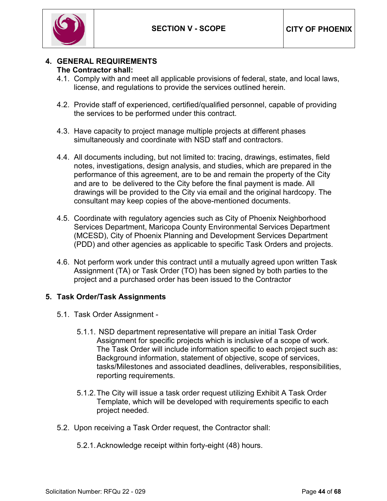

#### **4. GENERAL REQUIREMENTS The Contractor shall:**

- 4.1. Comply with and meet all applicable provisions of federal, state, and local laws, license, and regulations to provide the services outlined herein.
- 4.2. Provide staff of experienced, certified/qualified personnel, capable of providing the services to be performed under this contract.
- 4.3. Have capacity to project manage multiple projects at different phases simultaneously and coordinate with NSD staff and contractors.
- 4.4. All documents including, but not limited to: tracing, drawings, estimates, field notes, investigations, design analysis, and studies, which are prepared in the performance of this agreement, are to be and remain the property of the City and are to be delivered to the City before the final payment is made. All drawings will be provided to the City via email and the original hardcopy. The consultant may keep copies of the above-mentioned documents.
- 4.5. Coordinate with regulatory agencies such as City of Phoenix Neighborhood Services Department, Maricopa County Environmental Services Department (MCESD), City of Phoenix Planning and Development Services Department (PDD) and other agencies as applicable to specific Task Orders and projects.
- 4.6. Not perform work under this contract until a mutually agreed upon written Task Assignment (TA) or Task Order (TO) has been signed by both parties to the project and a purchased order has been issued to the Contractor

### **5. Task Order/Task Assignments**

- 5.1. Task Order Assignment
	- 5.1.1. NSD department representative will prepare an initial Task Order Assignment for specific projects which is inclusive of a scope of work. The Task Order will include information specific to each project such as: Background information, statement of objective, scope of services, tasks/Milestones and associated deadlines, deliverables, responsibilities, reporting requirements.
	- 5.1.2.The City will issue a task order request utilizing Exhibit A Task Order Template, which will be developed with requirements specific to each project needed.
- 5.2. Upon receiving a Task Order request, the Contractor shall:
	- 5.2.1.Acknowledge receipt within forty-eight (48) hours.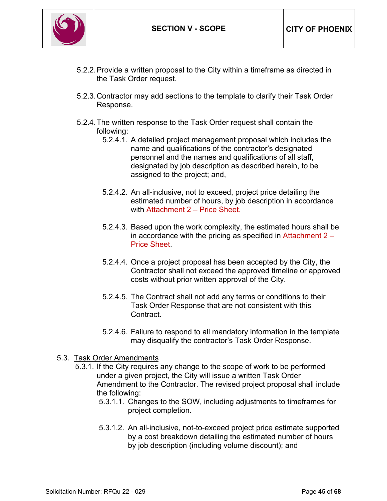

- 5.2.2.Provide a written proposal to the City within a timeframe as directed in the Task Order request.
- 5.2.3.Contractor may add sections to the template to clarify their Task Order Response.
- 5.2.4.The written response to the Task Order request shall contain the following:
	- 5.2.4.1. A detailed project management proposal which includes the name and qualifications of the contractor's designated personnel and the names and qualifications of all staff, designated by job description as described herein, to be assigned to the project; and,
	- 5.2.4.2. An all-inclusive, not to exceed, project price detailing the estimated number of hours, by job description in accordance with Attachment 2 – Price Sheet.
	- 5.2.4.3. Based upon the work complexity, the estimated hours shall be in accordance with the pricing as specified in Attachment  $2 -$ Price Sheet.
	- 5.2.4.4. Once a project proposal has been accepted by the City, the Contractor shall not exceed the approved timeline or approved costs without prior written approval of the City.
	- 5.2.4.5. The Contract shall not add any terms or conditions to their Task Order Response that are not consistent with this Contract.
	- 5.2.4.6. Failure to respond to all mandatory information in the template may disqualify the contractor's Task Order Response.

#### 5.3. Task Order Amendments

- 5.3.1. If the City requires any change to the scope of work to be performed under a given project, the City will issue a written Task Order Amendment to the Contractor. The revised project proposal shall include the following:
	- 5.3.1.1. Changes to the SOW, including adjustments to timeframes for project completion.
	- 5.3.1.2. An all-inclusive, not-to-exceed project price estimate supported by a cost breakdown detailing the estimated number of hours by job description (including volume discount); and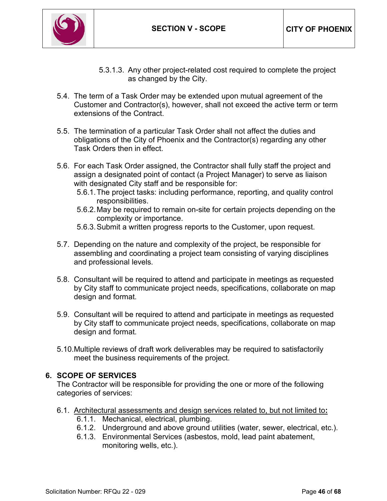

- 5.3.1.3. Any other project-related cost required to complete the project as changed by the City.
- 5.4. The term of a Task Order may be extended upon mutual agreement of the Customer and Contractor(s), however, shall not exceed the active term or term extensions of the Contract.
- 5.5. The termination of a particular Task Order shall not affect the duties and obligations of the City of Phoenix and the Contractor(s) regarding any other Task Orders then in effect.
- 5.6. For each Task Order assigned, the Contractor shall fully staff the project and assign a designated point of contact (a Project Manager) to serve as liaison with designated City staff and be responsible for:
	- 5.6.1.The project tasks: including performance, reporting, and quality control responsibilities.
	- 5.6.2.May be required to remain on-site for certain projects depending on the complexity or importance.
	- 5.6.3.Submit a written progress reports to the Customer, upon request.
- 5.7. Depending on the nature and complexity of the project, be responsible for assembling and coordinating a project team consisting of varying disciplines and professional levels.
- 5.8. Consultant will be required to attend and participate in meetings as requested by City staff to communicate project needs, specifications, collaborate on map design and format.
- 5.9. Consultant will be required to attend and participate in meetings as requested by City staff to communicate project needs, specifications, collaborate on map design and format.
- 5.10.Multiple reviews of draft work deliverables may be required to satisfactorily meet the business requirements of the project.

### **6. SCOPE OF SERVICES**

The Contractor will be responsible for providing the one or more of the following categories of services:

- 6.1. Architectural assessments and design services related to, but not limited to**:** 
	- 6.1.1. Mechanical, electrical, plumbing.
	- 6.1.2. Underground and above ground utilities (water, sewer, electrical, etc.).
	- 6.1.3. Environmental Services (asbestos, mold, lead paint abatement, monitoring wells, etc.).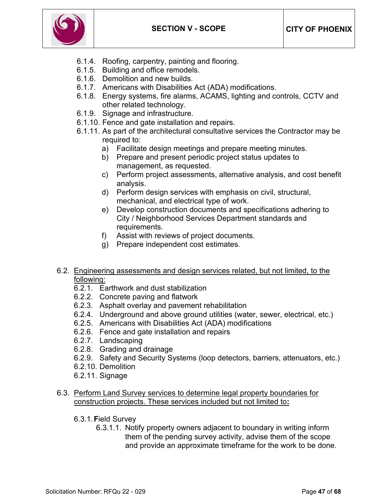

- 6.1.4. Roofing, carpentry, painting and flooring.
- 6.1.5. Building and office remodels.
- 6.1.6. Demolition and new builds.
- 6.1.7. Americans with Disabilities Act (ADA) modifications.
- 6.1.8. Energy systems, fire alarms, ACAMS, lighting and controls, CCTV and other related technology.
- 6.1.9. Signage and infrastructure.
- 6.1.10. Fence and gate installation and repairs.
- 6.1.11. As part of the architectural consultative services the Contractor may be required to:
	- a) Facilitate design meetings and prepare meeting minutes.
	- b) Prepare and present periodic project status updates to management, as requested.
	- c) Perform project assessments, alternative analysis, and cost benefit analysis.
	- d) Perform design services with emphasis on civil, structural, mechanical, and electrical type of work.
	- e) Develop construction documents and specifications adhering to City / Neighborhood Services Department standards and requirements.
	- f) Assist with reviews of project documents.
	- g) Prepare independent cost estimates.
- 6.2. Engineering assessments and design services related, but not limited, to the following:
	- 6.2.1. Earthwork and dust stabilization
	- 6.2.2. Concrete paving and flatwork
	- 6.2.3. Asphalt overlay and pavement rehabilitation
	- 6.2.4. Underground and above ground utilities (water, sewer, electrical, etc.)
	- 6.2.5. Americans with Disabilities Act (ADA) modifications
	- 6.2.6. Fence and gate installation and repairs
	- 6.2.7. Landscaping
	- 6.2.8. Grading and drainage
	- 6.2.9. Safety and Security Systems (loop detectors, barriers, attenuators, etc.)
	- 6.2.10. Demolition
	- 6.2.11. Signage

#### 6.3. Perform Land Survey services to determine legal property boundaries for construction projects. These services included but not limited to**:**

- 6.3.1.**F**ield Survey
	- 6.3.1.1. Notify property owners adjacent to boundary in writing inform them of the pending survey activity, advise them of the scope and provide an approximate timeframe for the work to be done.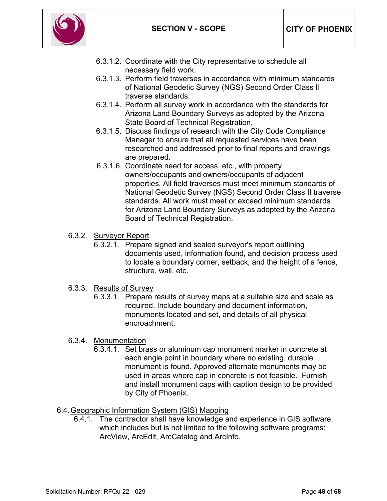

- 6.3.1.2. Coordinate with the City representative to schedule all necessary field work.
- 6.3.1.3. Perform field traverses in accordance with minimum standards of National Geodetic Survey (NGS) Second Order Class II traverse standards.
- 6.3.1.4. Perform all survey work in accordance with the standards for Arizona Land Boundary Surveys as adopted by the Arizona State Board of Technical Registration.
- 6.3.1.5. Discuss findings of research with the City Code Compliance Manager to ensure that all requested services have been researched and addressed prior to final reports and drawings are prepared.
- 6.3.1.6. Coordinate need for access, etc., with property owners/occupants and owners/occupants of adjacent properties. All field traverses must meet minimum standards of National Geodetic Survey (NGS) Second Order Class II traverse standards. All work must meet or exceed minimum standards for Arizona Land Boundary Surveys as adopted by the Arizona Board of Technical Registration.
- 6.3.2. Surveyor Report
	- 6.3.2.1. Prepare signed and sealed surveyor's report outlining documents used, information found, and decision process used to locate a boundary corner, setback, and the height of a fence, structure, wall, etc.
- 6.3.3. Results of Survey
	- 6.3.3.1. Prepare results of survey maps at a suitable size and scale as required. Include boundary and document information, monuments located and set, and details of all physical encroachment.

### 6.3.4. Monumentation

6.3.4.1. Set brass or aluminum cap monument marker in concrete at each angle point in boundary where no existing, durable monument is found. Approved alternate monuments may be used in areas where cap in concrete is not feasible. Furnish and install monument caps with caption design to be provided by City of Phoenix.

#### 6.4.Geographic Information System (GIS) Mapping

6.4.1. The contractor shall have knowledge and experience in GIS software, which includes but is not limited to the following software programs: ArcView, ArcEdit, ArcCatalog and ArcInfo.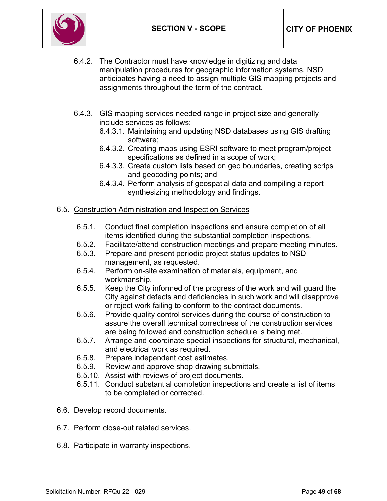

- 6.4.2. The Contractor must have knowledge in digitizing and data manipulation procedures for geographic information systems. NSD anticipates having a need to assign multiple GIS mapping projects and assignments throughout the term of the contract.
- 6.4.3. GIS mapping services needed range in project size and generally include services as follows:
	- 6.4.3.1. Maintaining and updating NSD databases using GIS drafting software;
	- 6.4.3.2. Creating maps using ESRI software to meet program/project specifications as defined in a scope of work;
	- 6.4.3.3. Create custom lists based on geo boundaries, creating scrips and geocoding points; and
	- 6.4.3.4. Perform analysis of geospatial data and compiling a report synthesizing methodology and findings.
- 6.5. Construction Administration and Inspection Services
	- 6.5.1. Conduct final completion inspections and ensure completion of all items identified during the substantial completion inspections.
	- 6.5.2. Facilitate/attend construction meetings and prepare meeting minutes.
	- 6.5.3. Prepare and present periodic project status updates to NSD management, as requested.
	- 6.5.4. Perform on-site examination of materials, equipment, and workmanship.
	- 6.5.5. Keep the City informed of the progress of the work and will guard the City against defects and deficiencies in such work and will disapprove or reject work failing to conform to the contract documents.
	- 6.5.6. Provide quality control services during the course of construction to assure the overall technical correctness of the construction services are being followed and construction schedule is being met.
	- 6.5.7. Arrange and coordinate special inspections for structural, mechanical, and electrical work as required.
	- 6.5.8. Prepare independent cost estimates.
	- 6.5.9. Review and approve shop drawing submittals.
	- 6.5.10. Assist with reviews of project documents.
	- 6.5.11. Conduct substantial completion inspections and create a list of items to be completed or corrected.
- 6.6. Develop record documents.
- 6.7. Perform close-out related services.
- 6.8. Participate in warranty inspections.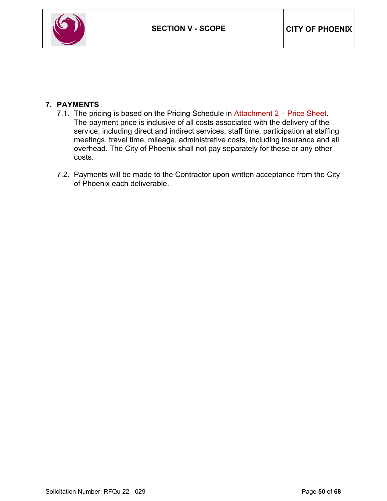

# **7. PAYMENTS**

- 7.1. The pricing is based on the Pricing Schedule in Attachment 2 Price Sheet. The payment price is inclusive of all costs associated with the delivery of the service, including direct and indirect services, staff time, participation at staffing meetings, travel time, mileage, administrative costs, including insurance and all overhead. The City of Phoenix shall not pay separately for these or any other costs.
- 7.2. Payments will be made to the Contractor upon written acceptance from the City of Phoenix each deliverable.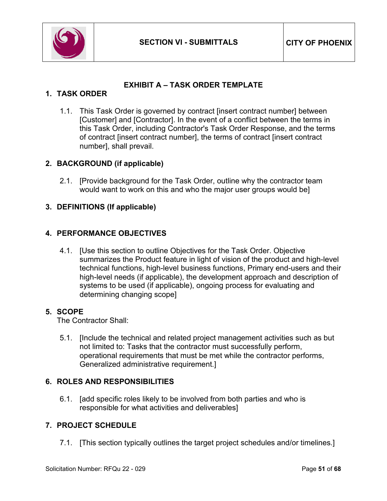

# **EXHIBIT A – TASK ORDER TEMPLATE**

### <span id="page-50-0"></span>**1. TASK ORDER**

1.1. This Task Order is governed by contract [insert contract number] between [Customer] and [Contractor]. In the event of a conflict between the terms in this Task Order, including Contractor's Task Order Response, and the terms of contract [insert contract number], the terms of contract [insert contract number], shall prevail.

### **2. BACKGROUND (if applicable)**

2.1. [Provide background for the Task Order, outline why the contractor team would want to work on this and who the major user groups would be]

### **3. DEFINITIONS (If applicable)**

### **4. PERFORMANCE OBJECTIVES**

4.1. [Use this section to outline Objectives for the Task Order. Objective summarizes the Product feature in light of vision of the product and high-level technical functions, high-level business functions, Primary end-users and their high-level needs (if applicable), the development approach and description of systems to be used (if applicable), ongoing process for evaluating and determining changing scope]

#### **5. SCOPE**

The Contractor Shall:

5.1. [Include the technical and related project management activities such as but not limited to: Tasks that the contractor must successfully perform, operational requirements that must be met while the contractor performs, Generalized administrative requirement.]

#### **6. ROLES AND RESPONSIBILITIES**

6.1. [add specific roles likely to be involved from both parties and who is responsible for what activities and deliverables]

### **7. PROJECT SCHEDULE**

7.1. [This section typically outlines the target project schedules and/or timelines.]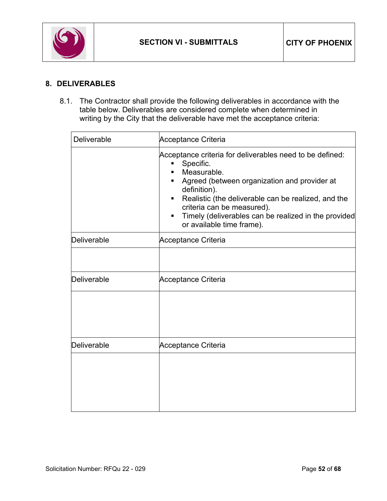

# **8. DELIVERABLES**

8.1. The Contractor shall provide the following deliverables in accordance with the table below. Deliverables are considered complete when determined in writing by the City that the deliverable have met the acceptance criteria:

| <b>Deliverable</b> | Acceptance Criteria                                                                                                                                                                                                                                                                                                                      |
|--------------------|------------------------------------------------------------------------------------------------------------------------------------------------------------------------------------------------------------------------------------------------------------------------------------------------------------------------------------------|
|                    | Acceptance criteria for deliverables need to be defined:<br>Specific.<br>П<br>Measurable.<br>Agreed (between organization and provider at<br>definition).<br>Realistic (the deliverable can be realized, and the<br>criteria can be measured).<br>Timely (deliverables can be realized in the provided<br>٠<br>or available time frame). |
| Deliverable        | <b>Acceptance Criteria</b>                                                                                                                                                                                                                                                                                                               |
|                    |                                                                                                                                                                                                                                                                                                                                          |
| Deliverable        | <b>Acceptance Criteria</b>                                                                                                                                                                                                                                                                                                               |
|                    |                                                                                                                                                                                                                                                                                                                                          |
| Deliverable        | Acceptance Criteria                                                                                                                                                                                                                                                                                                                      |
|                    |                                                                                                                                                                                                                                                                                                                                          |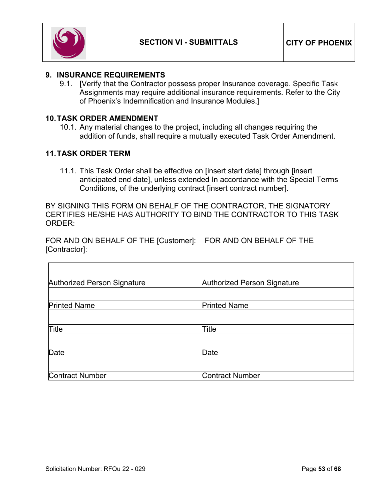

#### **9. INSURANCE REQUIREMENTS**

9.1. [Verify that the Contractor possess proper Insurance coverage. Specific Task Assignments may require additional insurance requirements. Refer to the City of Phoenix's Indemnification and Insurance Modules.]

#### **10.TASK ORDER AMENDMENT**

10.1. Any material changes to the project, including all changes requiring the addition of funds, shall require a mutually executed Task Order Amendment.

### **11.TASK ORDER TERM**

11.1. This Task Order shall be effective on [insert start date] through [insert anticipated end date], unless extended In accordance with the Special Terms Conditions, of the underlying contract [insert contract number].

BY SIGNING THIS FORM ON BEHALF OF THE CONTRACTOR, THE SIGNATORY CERTIFIES HE/SHE HAS AUTHORITY TO BIND THE CONTRACTOR TO THIS TASK ORDER:

FOR AND ON BEHALF OF THE [Customer]: FOR AND ON BEHALF OF THE [Contractor]:

| Authorized Person Signature | Authorized Person Signature |
|-----------------------------|-----------------------------|
|                             |                             |
| <b>Printed Name</b>         | <b>Printed Name</b>         |
|                             |                             |
| <b>Title</b>                | Title                       |
|                             |                             |
| Date                        | Date                        |
|                             |                             |
| <b>Contract Number</b>      | <b>Contract Number</b>      |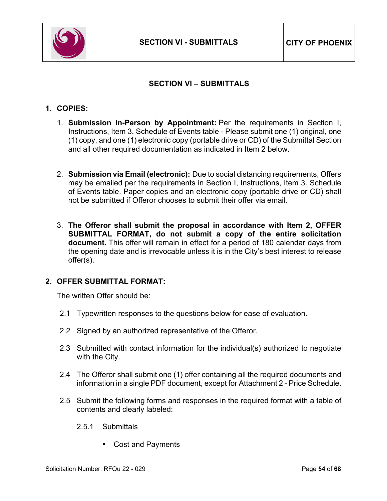

# **SECTION VI – SUBMITTALS**

#### <span id="page-53-0"></span>**1. COPIES:**

- 1. **Submission In-Person by Appointment:** Per the requirements in Section I, Instructions, Item 3. Schedule of Events table - Please submit one (1) original, one (1) copy, and one (1) electronic copy (portable drive or CD) of the Submittal Section and all other required documentation as indicated in Item 2 below.
- 2. **Submission via Email (electronic):** Due to social distancing requirements, Offers may be emailed per the requirements in Section I, Instructions, Item 3. Schedule of Events table. Paper copies and an electronic copy (portable drive or CD) shall not be submitted if Offeror chooses to submit their offer via email.
- 3. **The Offeror shall submit the proposal in accordance with Item 2, OFFER SUBMITTAL FORMAT, do not submit a copy of the entire solicitation document.** This offer will remain in effect for a period of 180 calendar days from the opening date and is irrevocable unless it is in the City's best interest to release offer(s).

#### **2. OFFER SUBMITTAL FORMAT:**

The written Offer should be:

- 2.1 Typewritten responses to the questions below for ease of evaluation.
- 2.2 Signed by an authorized representative of the Offeror.
- 2.3 Submitted with contact information for the individual(s) authorized to negotiate with the City.
- 2.4 The Offeror shall submit one (1) offer containing all the required documents and information in a single PDF document, except for Attachment 2 - Price Schedule.
- 2.5 Submit the following forms and responses in the required format with a table of contents and clearly labeled:
	- 2.5.1 Submittals
		- Cost and Payments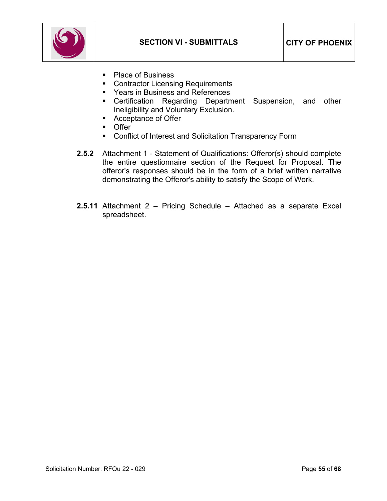

- Place of Business
- Contractor Licensing Requirements
- Years in Business and References
- **EXEC** Certification Regarding Department Suspension, and other Ineligibility and Voluntary Exclusion.
- **Acceptance of Offer**
- **Offer**
- **Conflict of Interest and Solicitation Transparency Form**
- **2.5.2** Attachment 1 Statement of Qualifications: Offeror(s) should complete the entire questionnaire section of the Request for Proposal. The offeror's responses should be in the form of a brief written narrative demonstrating the Offeror's ability to satisfy the Scope of Work.
- **2.5.11** Attachment 2 Pricing Schedule Attached as a separate Excel spreadsheet.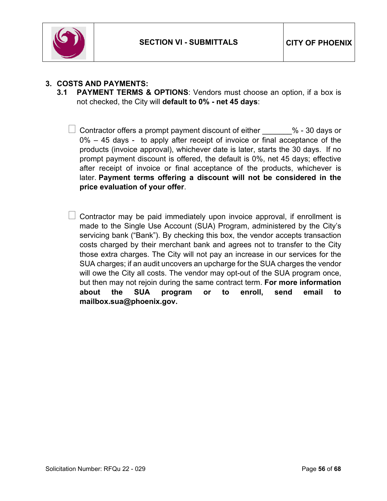

## **3. COSTS AND PAYMENTS:**

- **3.1 PAYMENT TERMS & OPTIONS**: Vendors must choose an option, if a box is not checked, the City will **default to 0% - net 45 days**:
	- $\perp$  Contractor offers a prompt payment discount of either  $\hspace{1cm}$  % 30 days or 0% – 45 days - to apply after receipt of invoice or final acceptance of the products (invoice approval), whichever date is later, starts the 30 days. If no prompt payment discount is offered, the default is 0%, net 45 days; effective after receipt of invoice or final acceptance of the products, whichever is later. **Payment terms offering a discount will not be considered in the price evaluation of your offer**.
	- $\perp$  Contractor may be paid immediately upon invoice approval, if enrollment is made to the Single Use Account (SUA) Program, administered by the City's servicing bank ("Bank"). By checking this box, the vendor accepts transaction costs charged by their merchant bank and agrees not to transfer to the City those extra charges. The City will not pay an increase in our services for the SUA charges; if an audit uncovers an upcharge for the SUA charges the vendor will owe the City all costs. The vendor may opt-out of the SUA program once, but then may not rejoin during the same contract term. **For more information about the SUA program or to enroll, send email to mailbox.sua@phoenix.gov.**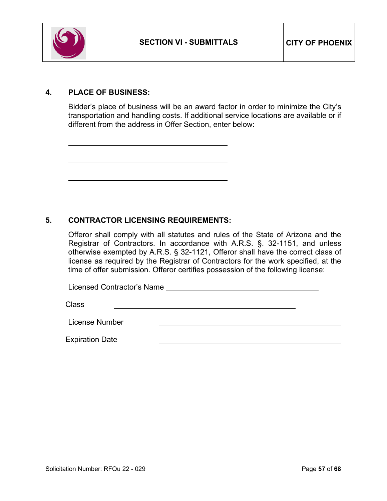

### **4. PLACE OF BUSINESS:**

Bidder's place of business will be an award factor in order to minimize the City's transportation and handling costs. If additional service locations are available or if different from the address in Offer Section, enter below:

### **5. CONTRACTOR LICENSING REQUIREMENTS:**

Offeror shall comply with all statutes and rules of the State of Arizona and the Registrar of Contractors. In accordance with A.R.S. §. 32-1151, and unless otherwise exempted by A.R.S. § 32-1121, Offeror shall have the correct class of license as required by the Registrar of Contractors for the work specified, at the time of offer submission. Offeror certifies possession of the following license:

Licensed Contractor's Name

Class

License Number

Expiration Date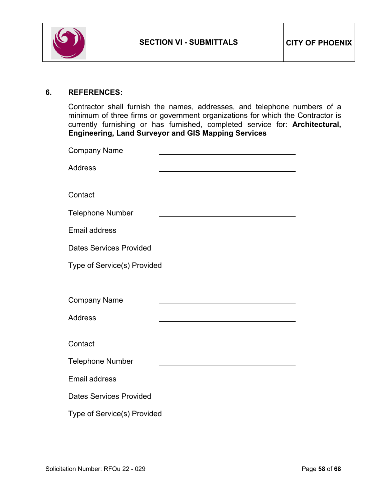

#### **6. REFERENCES:**

Contractor shall furnish the names, addresses, and telephone numbers of a minimum of three firms or government organizations for which the Contractor is currently furnishing or has furnished, completed service for: **Architectural, Engineering, Land Surveyor and GIS Mapping Services**

| <b>Company Name</b>            |  |  |
|--------------------------------|--|--|
| <b>Address</b>                 |  |  |
|                                |  |  |
| Contact                        |  |  |
| <b>Telephone Number</b>        |  |  |
| Email address                  |  |  |
| <b>Dates Services Provided</b> |  |  |
| Type of Service(s) Provided    |  |  |
|                                |  |  |
| <b>Company Name</b>            |  |  |
| <b>Address</b>                 |  |  |
|                                |  |  |
| Contact                        |  |  |
| <b>Telephone Number</b>        |  |  |
| <b>Email address</b>           |  |  |
| <b>Dates Services Provided</b> |  |  |
| Type of Service(s) Provided    |  |  |
|                                |  |  |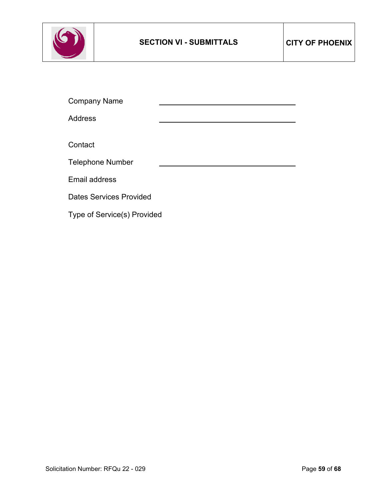

Company Name Address **Contact** Telephone Number Email address Dates Services Provided Type of Service(s) Provided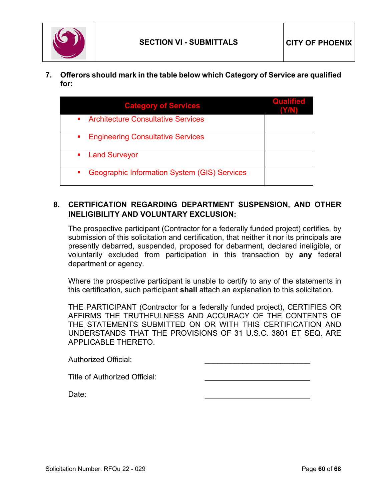

**7. Offerors should mark in the table below which Category of Service are qualified for:** 

| <b>Category of Services</b><br>• Architecture Consultative Services | <b>Qualified</b> |
|---------------------------------------------------------------------|------------------|
| <b>Engineering Consultative Services</b>                            |                  |
| • Land Surveyor                                                     |                  |
| Geographic Information System (GIS) Services                        |                  |

### **8. CERTIFICATION REGARDING DEPARTMENT SUSPENSION, AND OTHER INELIGIBILITY AND VOLUNTARY EXCLUSION:**

The prospective participant (Contractor for a federally funded project) certifies, by submission of this solicitation and certification, that neither it nor its principals are presently debarred, suspended, proposed for debarment, declared ineligible, or voluntarily excluded from participation in this transaction by **any** federal department or agency.

Where the prospective participant is unable to certify to any of the statements in this certification, such participant **shall** attach an explanation to this solicitation.

THE PARTICIPANT (Contractor for a federally funded project), CERTIFIES OR AFFIRMS THE TRUTHFULNESS AND ACCURACY OF THE CONTENTS OF THE STATEMENTS SUBMITTED ON OR WITH THIS CERTIFICATION AND UNDERSTANDS THAT THE PROVISIONS OF 31 U.S.C. 3801 ET SEQ. ARE APPLICABLE THERETO.

| <b>Authorized Official:</b>   |  |
|-------------------------------|--|
| Title of Authorized Official: |  |
| Date:                         |  |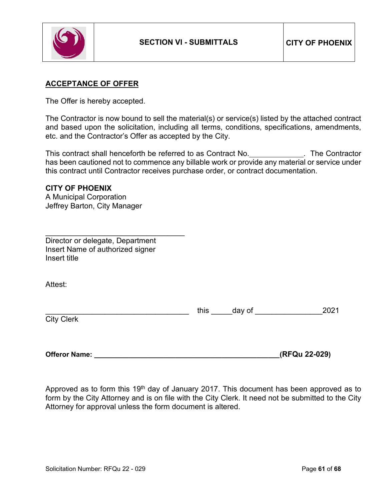

#### **ACCEPTANCE OF OFFER**

The Offer is hereby accepted.

The Contractor is now bound to sell the material(s) or service(s) listed by the attached contract and based upon the solicitation, including all terms, conditions, specifications, amendments, etc. and the Contractor's Offer as accepted by the City.

This contract shall henceforth be referred to as Contract No. \_\_\_\_\_\_\_\_\_\_\_\_. The Contractor has been cautioned not to commence any billable work or provide any material or service under this contract until Contractor receives purchase order, or contract documentation.

# **CITY OF PHOENIX**

A Municipal Corporation Jeffrey Barton, City Manager

\_\_\_\_\_\_\_\_\_\_\_\_\_\_\_\_\_\_\_\_\_\_\_\_\_\_\_\_\_\_\_\_\_ Director or delegate, Department Insert Name of authorized signer Insert title

Attest:

|                             | this | day of |  |
|-----------------------------|------|--------|--|
| <b>City Clerk</b><br>יווטוש |      |        |  |

**Offeror Name: \_\_\_\_\_\_\_\_\_\_\_\_\_\_\_\_\_\_\_\_\_\_\_\_\_\_\_\_\_\_\_\_\_\_\_\_\_\_\_\_\_\_\_\_\_\_\_\_(RFQu 22-029)**

Approved as to form this 19<sup>th</sup> day of January 2017. This document has been approved as to form by the City Attorney and is on file with the City Clerk. It need not be submitted to the City Attorney for approval unless the form document is altered.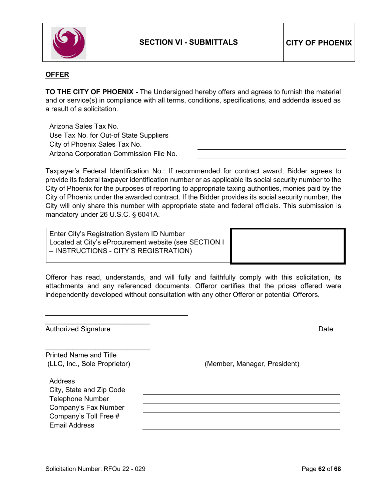

#### **OFFER**

**TO THE CITY OF PHOENIX -** The Undersigned hereby offers and agrees to furnish the material and or service(s) in compliance with all terms, conditions, specifications, and addenda issued as a result of a solicitation.

Arizona Sales Tax No. Use Tax No. for Out-of State Suppliers City of Phoenix Sales Tax No. Arizona Corporation Commission File No.

Taxpayer's Federal Identification No.: If recommended for contract award, Bidder agrees to provide its federal taxpayer identification number or as applicable its social security number to the City of Phoenix for the purposes of reporting to appropriate taxing authorities, monies paid by the City of Phoenix under the awarded contract. If the Bidder provides its social security number, the City will only share this number with appropriate state and federal officials. This submission is mandatory under 26 U.S.C. § 6041A.

| Enter City's Registration System ID Number            |  |
|-------------------------------------------------------|--|
| Located at City's eProcurement website (see SECTION I |  |
| - INSTRUCTIONS - CITY'S REGISTRATION)                 |  |

|  |  |  |  | Offeror has read, understands, and will fully and faithfully comply with this solicitation, its |  |  |  |
|--|--|--|--|-------------------------------------------------------------------------------------------------|--|--|--|
|  |  |  |  | attachments and any referenced documents. Offeror certifies that the prices offered were        |  |  |  |
|  |  |  |  | independently developed without consultation with any other Offeror or potential Offerors.      |  |  |  |

| <b>Authorized Signature</b>   | Date                         |
|-------------------------------|------------------------------|
| <b>Printed Name and Title</b> |                              |
| (LLC, Inc., Sole Proprietor)  | (Member, Manager, President) |
| Address                       |                              |
| City, State and Zip Code      |                              |
| <b>Telephone Number</b>       |                              |
| Company's Fax Number          |                              |
| Company's Toll Free #         |                              |
| <b>Email Address</b>          |                              |
|                               |                              |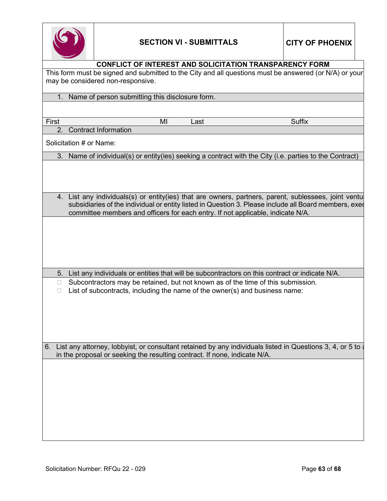

|        | <b>CONFLICT OF INTEREST AND SOLICITATION TRANSPARENCY FORM</b>                                           |      |               |  |
|--------|----------------------------------------------------------------------------------------------------------|------|---------------|--|
|        | This form must be signed and submitted to the City and all questions must be answered (or N/A) or your   |      |               |  |
|        | may be considered non-responsive.                                                                        |      |               |  |
|        | 1. Name of person submitting this disclosure form.                                                       |      |               |  |
|        |                                                                                                          |      |               |  |
| First  | MI                                                                                                       | Last | <b>Suffix</b> |  |
| 2.     | <b>Contract Information</b>                                                                              |      |               |  |
|        | Solicitation # or Name:                                                                                  |      |               |  |
| 3.     | Name of individual(s) or entity(ies) seeking a contract with the City (i.e. parties to the Contract)     |      |               |  |
|        |                                                                                                          |      |               |  |
|        |                                                                                                          |      |               |  |
|        |                                                                                                          |      |               |  |
|        | 4. List any individuals(s) or entity(ies) that are owners, partners, parent, sublessees, joint ventu     |      |               |  |
|        | subsidiaries of the individual or entity listed in Question 3. Please include all Board members, exed    |      |               |  |
|        | committee members and officers for each entry. If not applicable, indicate N/A.                          |      |               |  |
|        |                                                                                                          |      |               |  |
|        |                                                                                                          |      |               |  |
|        |                                                                                                          |      |               |  |
|        |                                                                                                          |      |               |  |
|        |                                                                                                          |      |               |  |
| 5.     | List any individuals or entities that will be subcontractors on this contract or indicate N/A.           |      |               |  |
| $\Box$ | Subcontractors may be retained, but not known as of the time of this submission.                         |      |               |  |
|        | List of subcontracts, including the name of the owner(s) and business name:                              |      |               |  |
|        |                                                                                                          |      |               |  |
|        |                                                                                                          |      |               |  |
|        |                                                                                                          |      |               |  |
|        |                                                                                                          |      |               |  |
|        |                                                                                                          |      |               |  |
| 6.     | List any attorney, lobbyist, or consultant retained by any individuals listed in Questions 3, 4, or 5 to |      |               |  |
|        | in the proposal or seeking the resulting contract. If none, indicate N/A.                                |      |               |  |
|        |                                                                                                          |      |               |  |
|        |                                                                                                          |      |               |  |
|        |                                                                                                          |      |               |  |
|        |                                                                                                          |      |               |  |
|        |                                                                                                          |      |               |  |
|        |                                                                                                          |      |               |  |
|        |                                                                                                          |      |               |  |
|        |                                                                                                          |      |               |  |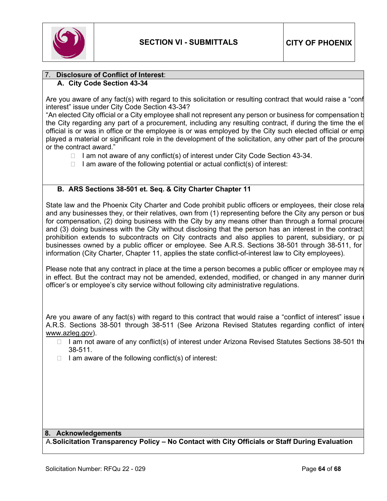

#### 7. **Disclosure of Conflict of Interest**: **A. City Code Section 43-34**

Are you aware of any fact(s) with regard to this solicitation or resulting contract that would raise a "conf interest" issue under City Code Section 43-34?

"An elected City official or a City employee shall not represent any person or business for compensation b the City regarding any part of a procurement, including any resulting contract, if during the time the el official is or was in office or the employee is or was employed by the City such elected official or emp played a material or significant role in the development of the solicitation, any other part of the procure or the contract award."

- $\Box$  I am not aware of any conflict(s) of interest under City Code Section 43-34.
- $\Box$  I am aware of the following potential or actual conflict(s) of interest:

#### **B. ARS Sections 38-501 et. Seq. & City Charter Chapter 11**

State law and the Phoenix City Charter and Code prohibit public officers or employees, their close rela and any businesses they, or their relatives, own from (1) representing before the City any person or bus for compensation, (2) doing business with the City by any means other than through a formal procure and (3) doing business with the City without disclosing that the person has an interest in the contract. prohibition extends to subcontracts on City contracts and also applies to parent, subsidiary, or pa businesses owned by a public officer or employee. See A.R.S. Sections 38-501 through 38-511, for information (City Charter, Chapter 11, applies the state conflict-of-interest law to City employees).

Please note that any contract in place at the time a person becomes a public officer or employee may re in effect. But the contract may not be amended, extended, modified, or changed in any manner durin officer's or employee's city service without following city administrative regulations.

Are you aware of any fact(s) with regard to this contract that would raise a "conflict of interest" issue A.R.S. Sections 38-501 through 38-511 (See Arizona Revised Statutes regarding conflict of intere [www.azleg.gov\)](http://www.azleg.gov/).

- $\Box$  I am not aware of any conflict(s) of interest under Arizona Revised Statutes Sections 38-501 the 38-511.
- $\Box$  I am aware of the following conflict(s) of interest:

#### **8. Acknowledgements**

A.**Solicitation Transparency Policy – No Contact with City Officials or Staff During Evaluation**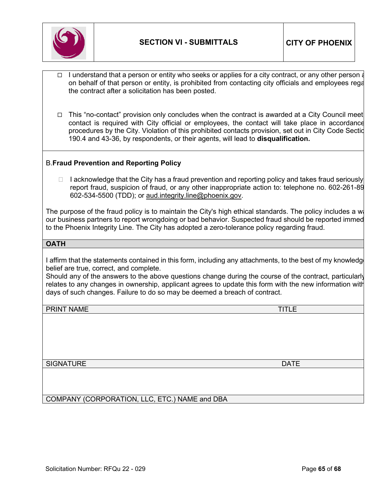

- I understand that a person or entity who seeks or applies for a city contract, or any other person a on behalf of that person or entity, is prohibited from contacting city officials and employees rega the contract after a solicitation has been posted.
- $\Box$  This "no-contact" provision only concludes when the contract is awarded at a City Council meet contact is required with City official or employees, the contact will take place in accordance procedures by the City. Violation of this prohibited contacts provision, set out in City Code Sectio 190.4 and 43-36, by respondents, or their agents, will lead to **disqualification.**

#### B.**Fraud Prevention and Reporting Policy**

 $\Box$  I acknowledge that the City has a fraud prevention and reporting policy and takes fraud seriously report fraud, suspicion of fraud, or any other inappropriate action to: telephone no. 602-261-89 602-534-5500 (TDD); or [aud.integrity.line@phoenix.gov.](mailto:aud.integrity.line@phoenix.gov)

The purpose of the fraud policy is to maintain the City's high ethical standards. The policy includes a wa our business partners to report wrongdoing or bad behavior. Suspected fraud should be reported immed to the Phoenix Integrity Line. The City has adopted a zero-tolerance policy regarding fraud.

#### **OATH**

I affirm that the statements contained in this form, including any attachments, to the best of my knowledge belief are true, correct, and complete.

Should any of the answers to the above questions change during the course of the contract, particularly relates to any changes in ownership, applicant agrees to update this form with the new information with days of such changes. Failure to do so may be deemed a breach of contract.

PRINT NAME TITLE TO A REPORT OF THE SERVICE OF THE SERVICE OF TITLE TITLE TO A REPORT OF TITLE THE SERVICE OF T

SIGNATURE **DATE** 

COMPANY (CORPORATION, LLC, ETC.) NAME and DBA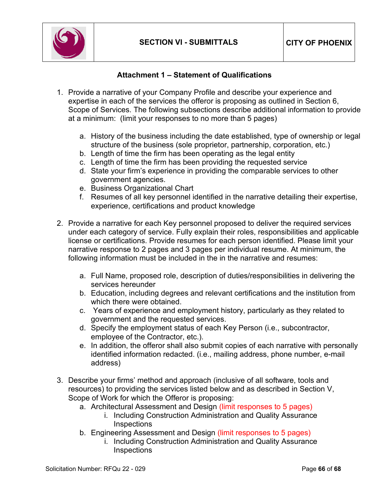

# **Attachment 1 – Statement of Qualifications**

- <span id="page-65-0"></span>1. Provide a narrative of your Company Profile and describe your experience and expertise in each of the services the offeror is proposing as outlined in Section 6, Scope of Services. The following subsections describe additional information to provide at a minimum: (limit your responses to no more than 5 pages)
	- a. History of the business including the date established, type of ownership or legal structure of the business (sole proprietor, partnership, corporation, etc.)
	- b. Length of time the firm has been operating as the legal entity
	- c. Length of time the firm has been providing the requested service
	- d. State your firm's experience in providing the comparable services to other government agencies.
	- e. Business Organizational Chart
	- f. Resumes of all key personnel identified in the narrative detailing their expertise, experience, certifications and product knowledge
- 2. Provide a narrative for each Key personnel proposed to deliver the required services under each category of service. Fully explain their roles, responsibilities and applicable license or certifications. Provide resumes for each person identified. Please limit your narrative response to 2 pages and 3 pages per individual resume. At minimum, the following information must be included in the in the narrative and resumes:
	- a. Full Name, proposed role, description of duties/responsibilities in delivering the services hereunder
	- b. Education, including degrees and relevant certifications and the institution from which there were obtained.
	- c. Years of experience and employment history, particularly as they related to government and the requested services.
	- d. Specify the employment status of each Key Person (i.e., subcontractor, employee of the Contractor, etc.).
	- e. In addition, the offeror shall also submit copies of each narrative with personally identified information redacted. (i.e., mailing address, phone number, e-mail address)
- 3. Describe your firms' method and approach (inclusive of all software, tools and resources) to providing the services listed below and as described in Section V, Scope of Work for which the Offeror is proposing:
	- a. Architectural Assessment and Design (limit responses to 5 pages)
		- i. Including Construction Administration and Quality Assurance **Inspections**
	- b. Engineering Assessment and Design (limit responses to 5 pages)
		- i. Including Construction Administration and Quality Assurance **Inspections**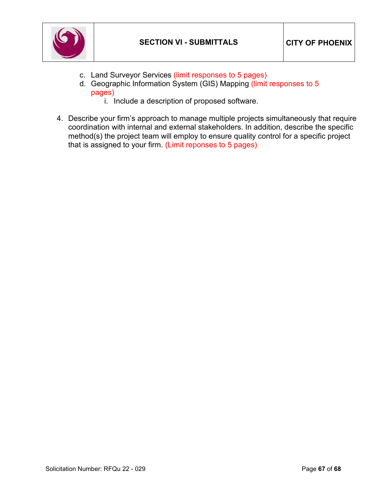

- c. Land Surveyor Services (limit responses to 5 pages)
- d. Geographic Information System (GIS) Mapping (limit responses to 5 pages)
	- i. Include a description of proposed software.
- 4. Describe your firm's approach to manage multiple projects simultaneously that require coordination with internal and external stakeholders. In addition, describe the specific method(s) the project team will employ to ensure quality control for a specific project that is assigned to your firm. (Limit reponses to 5 pages)